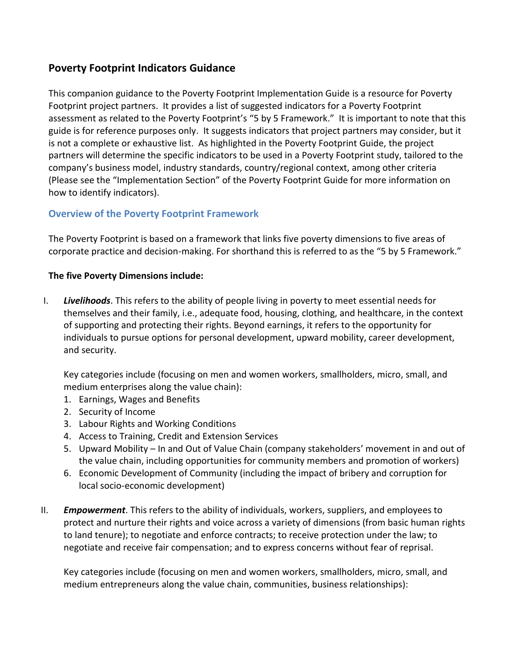## **Poverty Footprint Indicators Guidance**

This companion guidance to the Poverty Footprint Implementation Guide is a resource for Poverty Footprint project partners. It provides a list of suggested indicators for a Poverty Footprint assessment as related to the Poverty Footprint's "5 by 5 Framework." It is important to note that this guide is for reference purposes only. It suggests indicators that project partners may consider, but it is not a complete or exhaustive list. As highlighted in the Poverty Footprint Guide, the project partners will determine the specific indicators to be used in a Poverty Footprint study, tailored to the company's business model, industry standards, country/regional context, among other criteria (Please see the "Implementation Section" of the Poverty Footprint Guide for more information on how to identify indicators).

## **Overview of the Poverty Footprint Framework**

The Poverty Footprint is based on a framework that links five poverty dimensions to five areas of corporate practice and decision-making. For shorthand this is referred to as the "5 by 5 Framework."

### **The five Poverty Dimensions include:**

I. *Livelihoods*. This refers to the ability of people living in poverty to meet essential needs for themselves and their family, i.e., adequate food, housing, clothing, and healthcare, in the context of supporting and protecting their rights. Beyond earnings, it refers to the opportunity for individuals to pursue options for personal development, upward mobility, career development, and security.

Key categories include (focusing on men and women workers, smallholders, micro, small, and medium enterprises along the value chain):

- 1. Earnings, Wages and Benefits
- 2. Security of Income
- 3. Labour Rights and Working Conditions
- 4. Access to Training, Credit and Extension Services
- 5. Upward Mobility In and Out of Value Chain (company stakeholders' movement in and out of the value chain, including opportunities for community members and promotion of workers)
- 6. Economic Development of Community (including the impact of bribery and corruption for local socio-economic development)
- II. *Empowerment*. This refers to the ability of individuals, workers, suppliers, and employees to protect and nurture their rights and voice across a variety of dimensions (from basic human rights to land tenure); to negotiate and enforce contracts; to receive protection under the law; to negotiate and receive fair compensation; and to express concerns without fear of reprisal.

Key categories include (focusing on men and women workers, smallholders, micro, small, and medium entrepreneurs along the value chain, communities, business relationships):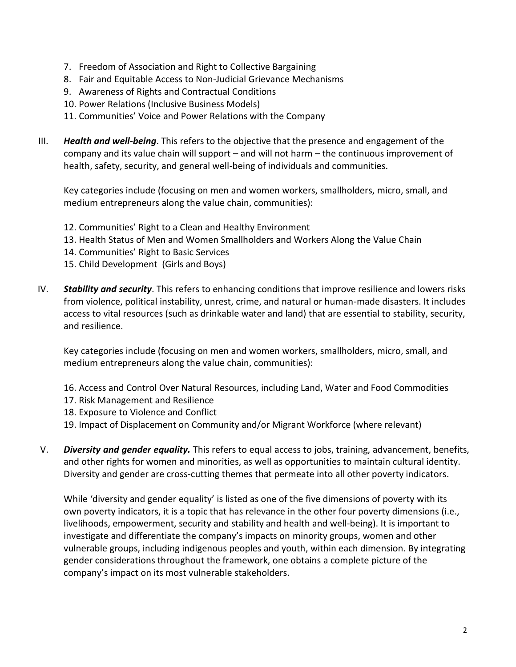- 7. Freedom of Association and Right to Collective Bargaining
- 8. Fair and Equitable Access to Non-Judicial Grievance Mechanisms
- 9. Awareness of Rights and Contractual Conditions
- 10. Power Relations (Inclusive Business Models)
- 11. Communities' Voice and Power Relations with the Company
- III. *Health and well-being*. This refers to the objective that the presence and engagement of the company and its value chain will support – and will not harm – the continuous improvement of health, safety, security, and general well-being of individuals and communities.

Key categories include (focusing on men and women workers, smallholders, micro, small, and medium entrepreneurs along the value chain, communities):

- 12. Communities' Right to a Clean and Healthy Environment
- 13. Health Status of Men and Women Smallholders and Workers Along the Value Chain
- 14. Communities' Right to Basic Services
- 15. Child Development (Girls and Boys)
- IV. *Stability and security*. This refers to enhancing conditions that improve resilience and lowers risks from violence, political instability, unrest, crime, and natural or human-made disasters. It includes access to vital resources (such as drinkable water and land) that are essential to stability, security, and resilience.

Key categories include (focusing on men and women workers, smallholders, micro, small, and medium entrepreneurs along the value chain, communities):

- 16. Access and Control Over Natural Resources, including Land, Water and Food Commodities
- 17. Risk Management and Resilience
- 18. Exposure to Violence and Conflict
- 19. Impact of Displacement on Community and/or Migrant Workforce (where relevant)
- V. *Diversity and gender equality.* This refers to equal access to jobs, training, advancement, benefits, and other rights for women and minorities, as well as opportunities to maintain cultural identity. Diversity and gender are cross-cutting themes that permeate into all other poverty indicators.

While 'diversity and gender equality' is listed as one of the five dimensions of poverty with its own poverty indicators, it is a topic that has relevance in the other four poverty dimensions (i.e., livelihoods, empowerment, security and stability and health and well-being). It is important to investigate and differentiate the company's impacts on minority groups, women and other vulnerable groups, including indigenous peoples and youth, within each dimension. By integrating gender considerations throughout the framework, one obtains a complete picture of the company's impact on its most vulnerable stakeholders.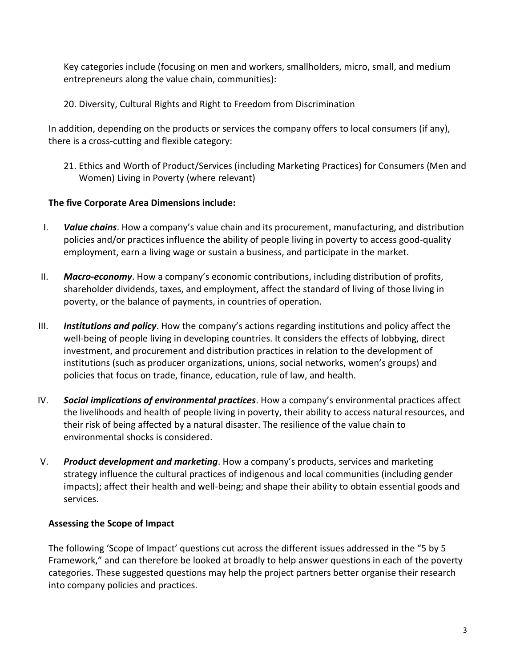Key categories include (focusing on men and workers, smallholders, micro, small, and medium entrepreneurs along the value chain, communities):

20. Diversity, Cultural Rights and Right to Freedom from Discrimination

In addition, depending on the products or services the company offers to local consumers (if any), there is a cross-cutting and flexible category:

21. Ethics and Worth of Product/Services (including Marketing Practices) for Consumers (Men and Women) Living in Poverty (where relevant)

## **The five Corporate Area Dimensions include:**

- I. *Value chains*. How a company's value chain and its procurement, manufacturing, and distribution policies and/or practices influence the ability of people living in poverty to access good-quality employment, earn a living wage or sustain a business, and participate in the market.
- II. *Macro-economy*. How a company's economic contributions, including distribution of profits, shareholder dividends, taxes, and employment, affect the standard of living of those living in poverty, or the balance of payments, in countries of operation.
- III. *Institutions and policy*. How the company's actions regarding institutions and policy affect the well-being of people living in developing countries. It considers the effects of lobbying, direct investment, and procurement and distribution practices in relation to the development of institutions (such as producer organizations, unions, social networks, women's groups) and policies that focus on trade, finance, education, rule of law, and health.
- IV. *Social implications of environmental practices*. How a company's environmental practices affect the livelihoods and health of people living in poverty, their ability to access natural resources, and their risk of being affected by a natural disaster. The resilience of the value chain to environmental shocks is considered.
- V. *Product development and marketing*. How a company's products, services and marketing strategy influence the cultural practices of indigenous and local communities (including gender impacts); affect their health and well-being; and shape their ability to obtain essential goods and services.

## **Assessing the Scope of Impact**

The following 'Scope of Impact' questions cut across the different issues addressed in the "5 by 5 Framework," and can therefore be looked at broadly to help answer questions in each of the poverty categories. These suggested questions may help the project partners better organise their research into company policies and practices.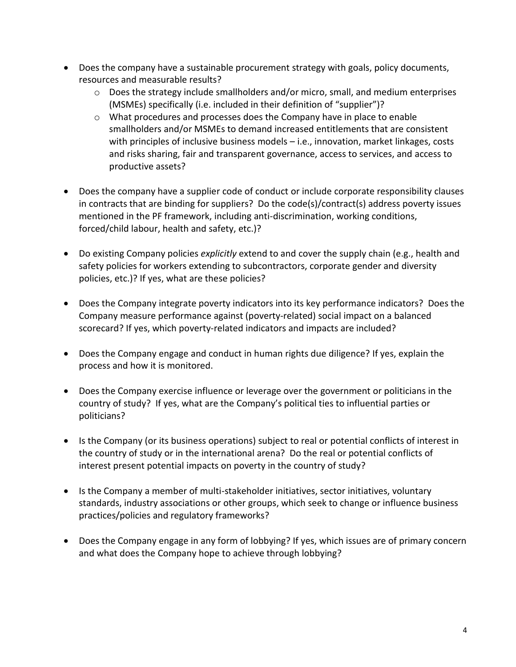- Does the company have a sustainable procurement strategy with goals, policy documents, resources and measurable results?
	- o Does the strategy include smallholders and/or micro, small, and medium enterprises (MSMEs) specifically (i.e. included in their definition of "supplier")?
	- $\circ$  What procedures and processes does the Company have in place to enable smallholders and/or MSMEs to demand increased entitlements that are consistent with principles of inclusive business models - i.e., innovation, market linkages, costs and risks sharing, fair and transparent governance, access to services, and access to productive assets?
- Does the company have a supplier code of conduct or include corporate responsibility clauses in contracts that are binding for suppliers? Do the code(s)/contract(s) address poverty issues mentioned in the PF framework, including anti-discrimination, working conditions, forced/child labour, health and safety, etc.)?
- Do existing Company policies *explicitly* extend to and cover the supply chain (e.g., health and safety policies for workers extending to subcontractors, corporate gender and diversity policies, etc.)? If yes, what are these policies?
- Does the Company integrate poverty indicators into its key performance indicators? Does the Company measure performance against (poverty-related) social impact on a balanced scorecard? If yes, which poverty-related indicators and impacts are included?
- Does the Company engage and conduct in human rights due diligence? If yes, explain the process and how it is monitored.
- Does the Company exercise influence or leverage over the government or politicians in the country of study? If yes, what are the Company's political ties to influential parties or politicians?
- Is the Company (or its business operations) subject to real or potential conflicts of interest in the country of study or in the international arena? Do the real or potential conflicts of interest present potential impacts on poverty in the country of study?
- Is the Company a member of multi-stakeholder initiatives, sector initiatives, voluntary standards, industry associations or other groups, which seek to change or influence business practices/policies and regulatory frameworks?
- Does the Company engage in any form of lobbying? If yes, which issues are of primary concern and what does the Company hope to achieve through lobbying?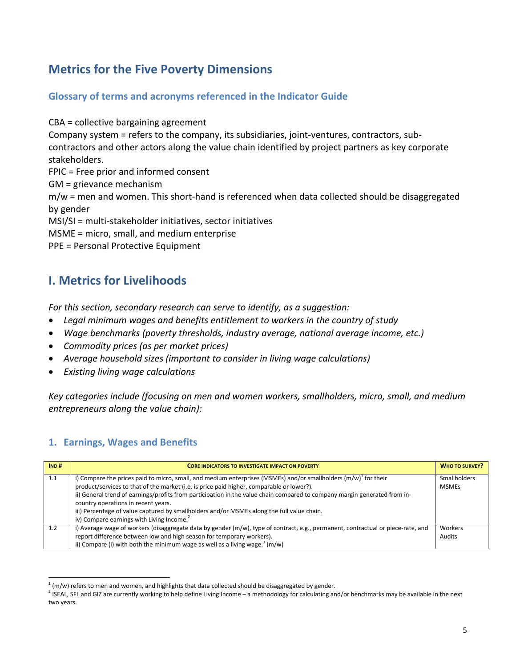# **Metrics for the Five Poverty Dimensions**

## **Glossary of terms and acronyms referenced in the Indicator Guide**

CBA = collective bargaining agreement

Company system = refers to the company, its subsidiaries, joint-ventures, contractors, subcontractors and other actors along the value chain identified by project partners as key corporate stakeholders.

FPIC = Free prior and informed consent

GM = grievance mechanism

m/w = men and women. This short-hand is referenced when data collected should be disaggregated by gender

MSI/SI = multi-stakeholder initiatives, sector initiatives

MSME = micro, small, and medium enterprise

PPE = Personal Protective Equipment

# **I. Metrics for Livelihoods**

*For this section, secondary research can serve to identify, as a suggestion:* 

- *Legal minimum wages and benefits entitlement to workers in the country of study*
- *Wage benchmarks (poverty thresholds, industry average, national average income, etc.)*
- *Commodity prices (as per market prices)*
- *Average household sizes (important to consider in living wage calculations)*
- *Existing living wage calculations*

*Key categories include (focusing on men and women workers, smallholders, micro, small, and medium entrepreneurs along the value chain):*

## **1. Earnings, Wages and Benefits**

| IND# | <b>CORE INDICATORS TO INVESTIGATE IMPACT ON POVERTY</b>                                                                                                                                                                                                                                                                                                                                                                                                                                                                                      | <b>WHO TO SURVEY?</b>               |
|------|----------------------------------------------------------------------------------------------------------------------------------------------------------------------------------------------------------------------------------------------------------------------------------------------------------------------------------------------------------------------------------------------------------------------------------------------------------------------------------------------------------------------------------------------|-------------------------------------|
| 1.1  | i) Compare the prices paid to micro, small, and medium enterprises (MSMEs) and/or smallholders $(m/w)^{1}$ for their<br>product/services to that of the market (i.e. is price paid higher, comparable or lower?).<br>ii) General trend of earnings/profits from participation in the value chain compared to company margin generated from in-<br>country operations in recent years.<br>iii) Percentage of value captured by smallholders and/or MSMEs along the full value chain.<br>iv) Compare earnings with Living Income. <sup>2</sup> | <b>Smallholders</b><br><b>MSMEs</b> |
| 1.2  | i) Average wage of workers (disaggregate data by gender (m/w), type of contract, e.g., permanent, contractual or piece-rate, and<br>report difference between low and high season for temporary workers).<br>ii) Compare (i) with both the minimum wage as well as a living wage. <sup>3</sup> (m/w)                                                                                                                                                                                                                                         | Workers<br>Audits                   |

 $\overline{a}$  $1$  (m/w) refers to men and women, and highlights that data collected should be disaggregated by gender.

<sup>&</sup>lt;sup>2</sup> ISEAL, SFL and GIZ are currently working to help define Living Income – a methodology for calculating and/or benchmarks may be available in the next two years.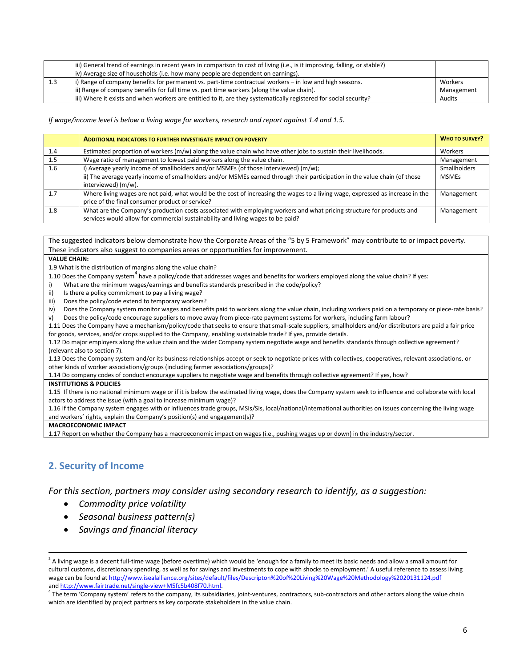|     | iii) General trend of earnings in recent years in comparison to cost of living (i.e., is it improving, falling, or stable?) |            |
|-----|-----------------------------------------------------------------------------------------------------------------------------|------------|
|     | iv) Average size of households (i.e. how many people are dependent on earnings).                                            |            |
| 1.3 | i) Range of company benefits for permanent vs. part-time contractual workers – in low and high seasons.                     | Workers    |
|     | ii) Range of company benefits for full time vs. part time workers (along the value chain).                                  | Management |
|     | iii) Where it exists and when workers are entitled to it, are they systematically registered for social security?           | Audits     |

*If wage/income level is below a living wage for workers, research and report against 1.4 and 1.5.*

|     | <b>ADDITIONAL INDICATORS TO FURTHER INVESTIGATE IMPACT ON POVERTY</b>                                                                                                                                                                       | <b>WHO TO SURVEY?</b>               |
|-----|---------------------------------------------------------------------------------------------------------------------------------------------------------------------------------------------------------------------------------------------|-------------------------------------|
| 1.4 | Estimated proportion of workers $(m/w)$ along the value chain who have other jobs to sustain their livelihoods.                                                                                                                             | Workers                             |
| 1.5 | Wage ratio of management to lowest paid workers along the value chain.                                                                                                                                                                      | Management                          |
| 1.6 | i) Average yearly income of smallholders and/or MSMEs (of those interviewed) $(m/w)$ ;<br>ii) The average yearly income of smallholders and/or MSMEs earned through their participation in the value chain (of those<br>interviewed) (m/w). | <b>Smallholders</b><br><b>MSMEs</b> |
| 1.7 | Where living wages are not paid, what would be the cost of increasing the wages to a living wage, expressed as increase in the<br>price of the final consumer product or service?                                                           | Management                          |
| 1.8 | What are the Company's production costs associated with employing workers and what pricing structure for products and<br>services would allow for commercial sustainability and living wages to be paid?                                    | Management                          |

The suggested indicators below demonstrate how the Corporate Areas of the "5 by 5 Framework" may contribute to or impact poverty. These indicators also suggest to companies areas or opportunities for improvement.

#### **VALUE CHAIN:**

1.9 What is the distribution of margins along the value chain?

1.10 Does the Company system $^4$  have a policy/code that addresses wages and benefits for workers employed along the value chain? If yes:

- i) What are the minimum wages/earnings and benefits standards prescribed in the code/policy?
- ii) Is there a policy commitment to pay a living wage?
- iii) Does the policy/code extend to temporary workers?

iv) Does the Company system monitor wages and benefits paid to workers along the value chain, including workers paid on a temporary or piece-rate basis? v) Does the policy/code encourage suppliers to move away from piece-rate payment systems for workers, including farm labour?

1.11 Does the Company have a mechanism/policy/code that seeks to ensure that small-scale suppliers, smallholders and/or distributors are paid a fair price for goods, services, and/or crops supplied to the Company, enabling sustainable trade? If yes, provide details.

1.12 Do major employers along the value chain and the wider Company system negotiate wage and benefits standards through collective agreement? (relevant also to section 7).

1.13 Does the Company system and/or its business relationships accept or seek to negotiate prices with collectives, cooperatives, relevant associations, or other kinds of worker associations/groups (including farmer associations/groups)?

1.14 Do company codes of conduct encourage suppliers to negotiate wage and benefits through collective agreement? If yes, how?

### **INSTITUTIONS & POLICIES**

1.15 If there is no national minimum wage or if it is below the estimated living wage, does the Company system seek to influence and collaborate with local actors to address the issue (with a goal to increase minimum wage)?

1.16 If the Company system engages with or influences trade groups, MSIs/SIs, local/national/international authorities on issues concerning the living wage and workers' rights, explain the Company's position(s) and engagement(s)?

**MACROECONOMIC IMPACT**

l

1.17 Report on whether the Company has a macroeconomic impact on wages (i.e., pushing wages up or down) in the industry/sector.

### **2. Security of Income**

*For this section, partners may consider using secondary research to identify, as a suggestion:* 

- *Commodity price volatility*
- *Seasonal business pattern(s)*
- *Savings and financial literacy*

<sup>4</sup> The term 'Company system' refers to the company, its subsidiaries, joint-ventures, contractors, sub-contractors and other actors along the value chain which are identified by project partners as key corporate stakeholders in the value chain.

 $3$  A living wage is a decent full-time wage (before overtime) which would be 'enough for a family to meet its basic needs and allow a small amount for cultural customs, discretionary spending, as well as for savings and investments to cope with shocks to employment.' A useful reference to assess living wage can be found at <http://www.isealalliance.org/sites/default/files/Descripton%20of%20Living%20Wage%20Methodology%2020131124.pdf> an[d http://www.fairtrade.net/single-view+M5fc5b408f70.html.](http://www.fairtrade.net/single-view+M5fc5b408f70.html)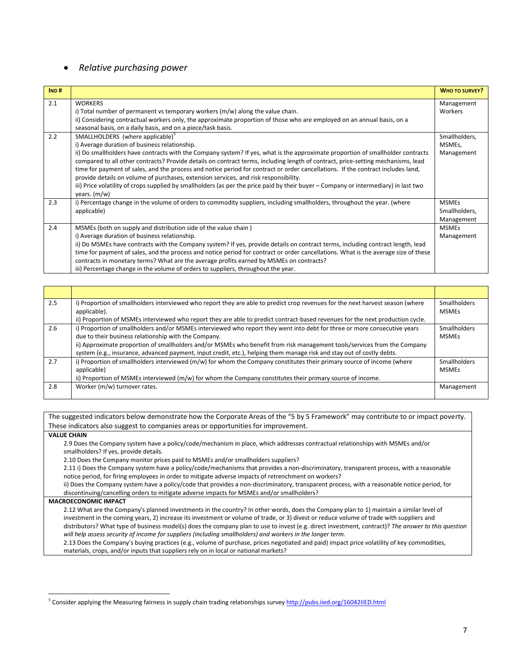### *Relative purchasing power*

| IND# |                                                                                                                                                                                                                                                                                                                                                                                                                                                                                                                                                                                                                                                                                                                                                            | <b>WHO TO SURVEY?</b>                       |
|------|------------------------------------------------------------------------------------------------------------------------------------------------------------------------------------------------------------------------------------------------------------------------------------------------------------------------------------------------------------------------------------------------------------------------------------------------------------------------------------------------------------------------------------------------------------------------------------------------------------------------------------------------------------------------------------------------------------------------------------------------------------|---------------------------------------------|
| 2.1  | <b>WORKERS</b><br>i) Total number of permanent vs temporary workers (m/w) along the value chain.                                                                                                                                                                                                                                                                                                                                                                                                                                                                                                                                                                                                                                                           | Management<br>Workers                       |
|      | ii) Considering contractual workers only, the approximate proportion of those who are employed on an annual basis, on a<br>seasonal basis, on a daily basis, and on a piece/task basis.                                                                                                                                                                                                                                                                                                                                                                                                                                                                                                                                                                    |                                             |
| 2.2  | SMALLHOLDERS (where applicable) <sup>5</sup><br>i) Average duration of business relationship.<br>ii) Do smallholders have contracts with the Company system? If yes, what is the approximate proportion of smallholder contracts<br>compared to all other contracts? Provide details on contract terms, including length of contract, price-setting mechanisms, lead<br>time for payment of sales, and the process and notice period for contract or order cancellations. If the contract includes land,<br>provide details on volume of purchases, extension services, and risk responsibility.<br>iii) Price volatility of crops supplied by smallholders (as per the price paid by their buyer – Company or intermediary) in last two<br>years. $(m/w)$ | Smallholders,<br>MSMEs,<br>Management       |
| 2.3  | i) Percentage change in the volume of orders to commodity suppliers, including smallholders, throughout the year. (where<br>applicable)                                                                                                                                                                                                                                                                                                                                                                                                                                                                                                                                                                                                                    | <b>MSMEs</b><br>Smallholders,<br>Management |
| 2.4  | MSMEs (both on supply and distribution side of the value chain)<br>i) Average duration of business relationship.<br>ii) Do MSMEs have contracts with the Company system? If yes, provide details on contract terms, including contract length, lead<br>time for payment of sales, and the process and notice period for contract or order cancellations. What is the average size of these<br>contracts in monetary terms? What are the average profits earned by MSMEs on contracts?<br>iii) Percentage change in the volume of orders to suppliers, throughout the year.                                                                                                                                                                                 | <b>MSMEs</b><br>Management                  |

| 2.5 | i) Proportion of smallholders interviewed who report they are able to predict crop revenues for the next harvest season (where | <b>Smallholders</b> |
|-----|--------------------------------------------------------------------------------------------------------------------------------|---------------------|
|     | applicable).                                                                                                                   | <b>MSMEs</b>        |
|     | ii) Proportion of MSMEs interviewed who report they are able to predict contract-based revenues for the next production cycle. |                     |
| 2.6 | i) Proportion of smallholders and/or MSMEs interviewed who report they went into debt for three or more consecutive years      | <b>Smallholders</b> |
|     | due to their business relationship with the Company.                                                                           | <b>MSMEs</b>        |
|     | ii) Approximate proportion of smallholders and/or MSMEs who benefit from risk management tools/services from the Company       |                     |
|     | system (e.g., insurance, advanced payment, input credit, etc.), helping them manage risk and stay out of costly debts.         |                     |
| 2.7 | i) Proportion of smallholders interviewed (m/w) for whom the Company constitutes their primary source of income (where         | <b>Smallholders</b> |
|     | applicable)                                                                                                                    | <b>MSMEs</b>        |
|     | ii) Proportion of MSMEs interviewed (m/w) for whom the Company constitutes their primary source of income.                     |                     |
| 2.8 | Worker (m/w) turnover rates.                                                                                                   | Management          |
|     |                                                                                                                                |                     |

The suggested indicators below demonstrate how the Corporate Areas of the "5 by 5 Framework" may contribute to or impact poverty. These indicators also suggest to companies areas or opportunities for improvement.

### **VALUE CHAIN**

 $\overline{a}$ 

2.9 Does the Company system have a policy/code/mechanism in place, which addresses contractual relationships with MSMEs and/or smallholders? If yes, provide details.

2.10 Does the Company monitor prices paid to MSMEs and/or smallholders suppliers?

2.11 i) Does the Company system have a policy/code/mechanisms that provides a non-discriminatory, transparent process, with a reasonable notice period, for firing employees in order to mitigate adverse impacts of retrenchment on workers?

ii) Does the Company system have a policy/code that provides a non-discriminatory, transparent process, with a reasonable notice period, for discontinuing/cancelling orders to mitigate adverse impacts for MSMEs and/or smallholders?

### **MACROECONOMIC IMPACT**

2.12 What are the Company's planned investments in the country? In other words, does the Company plan to 1) maintain a similar level of investment in the coming years, 2) increase its investment or volume of trade, or 3) divest or reduce volume of trade with suppliers and distributors? What type of business model(s) does the company plan to use to invest (e.g. direct investment, contract)? *The answer to this question will help assess security of income for suppliers (including smallholders) and workers in the longer term.* 

2.13 Does the Company's buying practices (e.g., volume of purchase, prices negotiated and paid) impact price volatility of key commodities, materials, crops, and/or inputs that suppliers rely on in local or national markets?

<sup>&</sup>lt;sup>5</sup> Consider applying the Measuring fairness in supply chain trading relationships survey <u>http://pubs.iied.org/16042IIED.html</u>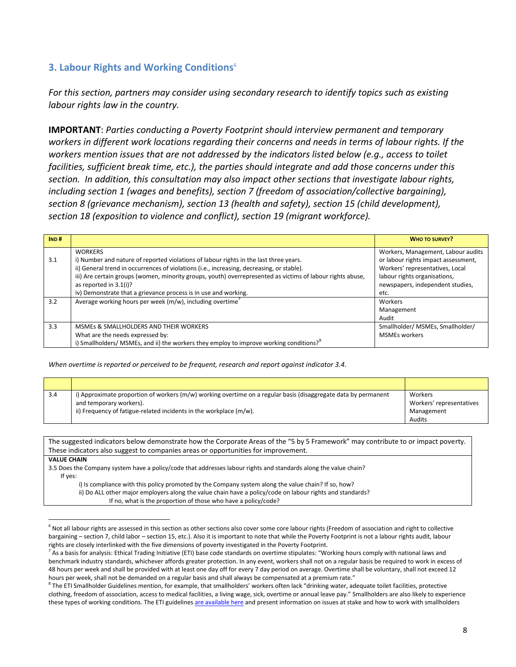## **3. Labour Rights and Working Conditions**<sup>6</sup>

*For this section, partners may consider using secondary research to identify topics such as existing labour rights law in the country.*

**IMPORTANT**: *Parties conducting a Poverty Footprint should interview permanent and temporary workers in different work locations regarding their concerns and needs in terms of labour rights. If the workers mention issues that are not addressed by the indicators listed below (e.g., access to toilet facilities, sufficient break time, etc.), the parties should integrate and add those concerns under this section. In addition, this consultation may also impact other sections that investigate labour rights, including section 1 (wages and benefits), section 7 (freedom of association/collective bargaining), section 8 (grievance mechanism), section 13 (health and safety), section 15 (child development), section 18 (exposition to violence and conflict), section 19 (migrant workforce).* 

| IND# |                                                                                                            | <b>WHO TO SURVEY?</b>               |
|------|------------------------------------------------------------------------------------------------------------|-------------------------------------|
|      | <b>WORKERS</b>                                                                                             | Workers, Management, Labour audits  |
| 3.1  | i) Number and nature of reported violations of labour rights in the last three years.                      | or labour rights impact assessment, |
|      | ii) General trend in occurrences of violations (i.e., increasing, decreasing, or stable).                  | Workers' representatives, Local     |
|      | iii) Are certain groups (women, minority groups, youth) overrepresented as victims of labour rights abuse, | labour rights organisations,        |
|      | as reported in 3.1(i)?                                                                                     | newspapers, independent studies,    |
|      | iv) Demonstrate that a grievance process is in use and working.                                            | etc.                                |
| 3.2  | Average working hours per week (m/w), including overtime                                                   | Workers                             |
|      |                                                                                                            | Management                          |
|      |                                                                                                            | Audit                               |
| 3.3  | MSMES & SMALLHOLDERS AND THEIR WORKERS                                                                     | Smallholder/ MSMEs, Smallholder/    |
|      | What are the needs expressed by:                                                                           | <b>MSMEs workers</b>                |
|      | i) Smallholders/ MSMEs, and ii) the workers they employ to improve working conditions? <sup>8</sup>        |                                     |

*When overtime is reported or perceived to be frequent, research and report against indicator 3.4.*

| 3.4 | i) Approximate proportion of workers (m/w) working overtime on a regular basis (disaggregate data by permanent | Workers                  |
|-----|----------------------------------------------------------------------------------------------------------------|--------------------------|
|     | and temporary workers).                                                                                        | Workers' representatives |
|     | ii) Frequency of fatigue-related incidents in the workplace (m/w).                                             | Management               |
|     |                                                                                                                | Audits                   |

The suggested indicators below demonstrate how the Corporate Areas of the "5 by 5 Framework" may contribute to or impact poverty. These indicators also suggest to companies areas or opportunities for improvement. **VALUE CHAIN**  3.5 Does the Company system have a policy/code that addresses labour rights and standards along the value chain? If yes: i) Is compliance with this policy promoted by the Company system along the value chain? If so, how?

ii) Do ALL other major employers along the value chain have a policy/code on labour rights and standards?

If no, what is the proportion of those who have a policy/code?

l

 $^6$  Not all labour rights are assessed in this section as other sections also cover some core labour rights (Freedom of association and right to collective bargaining – section 7, child labor – section 15, etc.). Also it is important to note that while the Poverty Footprint is not a labour rights audit, labour rights are closely interlinked with the five dimensions of poverty investigated in the Poverty Footprint.

 $^7$  As a basis for analysis: Ethical Trading Initiative (ETI) base code standards on overtime stipulates: "Working hours comply with national laws and benchmark industry standards, whichever affords greater protection. In any event, workers shall not on a regular basis be required to work in excess of 48 hours per week and shall be provided with at least one day off for every 7 day period on average. Overtime shall be voluntary, shall not exceed 12 hours per week, shall not be demanded on a regular basis and shall always be compensated at a premium rate."

 $8$  The ETI Smallholder Guidelines mention, for example, that smallholders' workers often lack "drinking water, adequate toilet facilities, protective clothing, freedom of association, access to medical facilities, a living wage, sick, overtime or annual leave pay." Smallholders are also likely to experience these types of working conditions. The ETI guideline[s are available here](http://www.ethicaltrade.org/sites/default/files/resources/ETI%20Smallholder%20guidelines,%20English.pdf) and present information on issues at stake and how to work with smallholders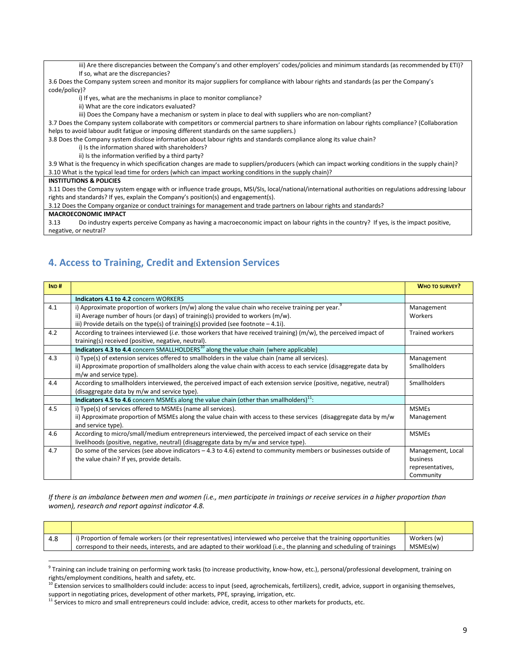iii) Are there discrepancies between the Company's and other employers' codes/policies and minimum standards (as recommended by ETI)? If so, what are the discrepancies?

3.6 Does the Company system screen and monitor its major suppliers for compliance with labour rights and standards (as per the Company's code/policy)?

i) If yes, what are the mechanisms in place to monitor compliance?

ii) What are the core indicators evaluated?

iii) Does the Company have a mechanism or system in place to deal with suppliers who are non-compliant?

3.7 Does the Company system collaborate with competitors or commercial partners to share information on labour rights compliance? (Collaboration helps to avoid labour audit fatigue or imposing different standards on the same suppliers.)

3.8 Does the Company system disclose information about labour rights and standards compliance along its value chain?

i) Is the information shared with shareholders?

ii) Is the information verified by a third party?

3.9 What is the frequency in which specification changes are made to suppliers/producers (which can impact working conditions in the supply chain)? 3.10 What is the typical lead time for orders (which can impact working conditions in the supply chain)?

#### **INSTITUTIONS & POLICIES**

3.11 Does the Company system engage with or influence trade groups, MSI/SIs, local/national/international authorities on regulations addressing labour rights and standards? If yes, explain the Company's position(s) and engagement(s).

3.12 Does the Company organize or conduct trainings for management and trade partners on labour rights and standards?

**MACROECONOMIC IMPACT**

 $\overline{\phantom{a}}$ 

3.13 Do industry experts perceive Company as having a macroeconomic impact on labour rights in the country? If yes, is the impact positive, negative, or neutral?

### **4. Access to Training, Credit and Extension Services**

| IND# |                                                                                                                       | <b>WHO TO SURVEY?</b>  |
|------|-----------------------------------------------------------------------------------------------------------------------|------------------------|
|      | Indicators 4.1 to 4.2 concern WORKERS                                                                                 |                        |
| 4.1  | i) Approximate proportion of workers ( $m/w$ ) along the value chain who receive training per year.                   | Management             |
|      | ii) Average number of hours (or days) of training(s) provided to workers $(m/w)$ .                                    | Workers                |
|      | iii) Provide details on the type(s) of training(s) provided (see footnote $-4.1i$ ).                                  |                        |
| 4.2  | According to trainees interviewed (i.e. those workers that have received training) ( $m/w$ ), the perceived impact of | <b>Trained workers</b> |
|      | training(s) received (positive, negative, neutral).                                                                   |                        |
|      | Indicators 4.3 to 4.4 concern SMALLHOLDERS <sup>10</sup> along the value chain (where applicable)                     |                        |
| 4.3  | i) Type(s) of extension services offered to smallholders in the value chain (name all services).                      | Management             |
|      | ii) Approximate proportion of smallholders along the value chain with access to each service (disaggregate data by    | <b>Smallholders</b>    |
|      | m/w and service type).                                                                                                |                        |
| 4.4  | According to smallholders interviewed, the perceived impact of each extension service (positive, negative, neutral)   | <b>Smallholders</b>    |
|      | (disaggregate data by m/w and service type).                                                                          |                        |
|      | <b>Indicators 4.5 to 4.6</b> concern MSMEs along the value chain (other than smallholders) <sup>11</sup> :            |                        |
| 4.5  | i) Type(s) of services offered to MSMEs (name all services).                                                          | <b>MSMEs</b>           |
|      | ii) Approximate proportion of MSMEs along the value chain with access to these services (disaggregate data by m/w     | Management             |
|      | and service type).                                                                                                    |                        |
| 4.6  | According to micro/small/medium entrepreneurs interviewed, the perceived impact of each service on their              | <b>MSMEs</b>           |
|      | livelihoods (positive, negative, neutral) (disaggregate data by m/w and service type).                                |                        |
| 4.7  | Do some of the services (see above indicators $-4.3$ to 4.6) extend to community members or businesses outside of     | Management, Local      |
|      | the value chain? If yes, provide details.                                                                             | business               |
|      |                                                                                                                       | representatives,       |
|      |                                                                                                                       | Community              |

*If there is an imbalance between men and women (i.e., men participate in trainings or receive services in a higher proportion than women), research and report against indicator 4.8.*

| i) Proportion of female workers (or their representatives) interviewed who perceive that the training opportunities<br>4.8 | Workers (w) |
|----------------------------------------------------------------------------------------------------------------------------|-------------|
| correspond to their needs, interests, and are adapted to their workload (i.e., the planning and scheduling of trainings    | MSMEs(w)    |

<sup>9</sup> Training can include training on performing work tasks (to increase productivity, know-how, etc.), personal/professional development, training on rights/employment conditions, health and safety, etc.

 $10$  Extension services to smallholders could include: access to input (seed, agrochemicals, fertilizers), credit, advice, support in organising themselves, support in negotiating prices, development of other markets, PPE, spraying, irrigation, etc.

<sup>&</sup>lt;sup>11</sup> Services to micro and small entrepreneurs could include: advice, credit, access to other markets for products, etc.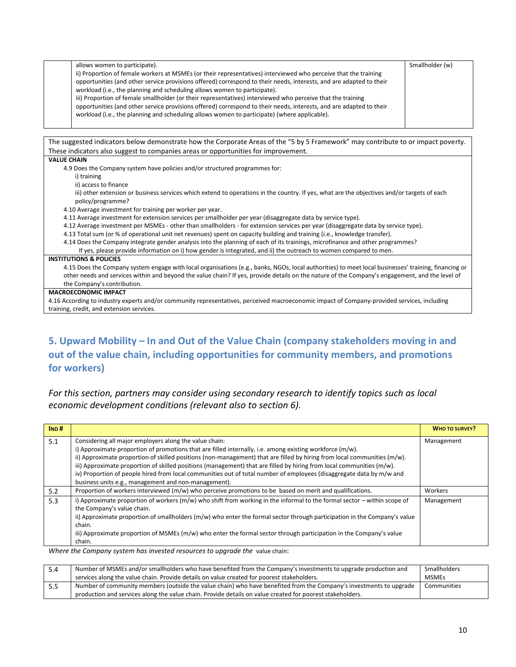| allows women to participate).                                                                                       | Smallholder (w) |
|---------------------------------------------------------------------------------------------------------------------|-----------------|
| ii) Proportion of female workers at MSMEs (or their representatives) interviewed who perceive that the training     |                 |
| opportunities (and other service provisions offered) correspond to their needs, interests, and are adapted to their |                 |
| workload (i.e., the planning and scheduling allows women to participate).                                           |                 |
| iii) Proportion of female smallholder (or their representatives) interviewed who perceive that the training         |                 |
| opportunities (and other service provisions offered) correspond to their needs, interests, and are adapted to their |                 |
| workload (i.e., the planning and scheduling allows women to participate) (where applicable).                        |                 |
|                                                                                                                     |                 |



## **5. Upward Mobility – In and Out of the Value Chain (company stakeholders moving in and out of the value chain, including opportunities for community members, and promotions for workers)**

*For this section, partners may consider using secondary research to identify topics such as local economic development conditions (relevant also to section 6).*

| IND# |                                                                                                                                                                                                                                                                                                                                                                                                                                                                                                                                                                                                         | <b>WHO TO SURVEY?</b> |
|------|---------------------------------------------------------------------------------------------------------------------------------------------------------------------------------------------------------------------------------------------------------------------------------------------------------------------------------------------------------------------------------------------------------------------------------------------------------------------------------------------------------------------------------------------------------------------------------------------------------|-----------------------|
| 5.1  | Considering all major employers along the value chain:<br>i) Approximate proportion of promotions that are filled internally, i.e. among existing workforce (m/w).<br>ii) Approximate proportion of skilled positions (non-management) that are filled by hiring from local communities (m/w).<br>iii) Approximate proportion of skilled positions (management) that are filled by hiring from local communities (m/w).<br>iv) Proportion of people hired from local communities out of total number of employees (disaggregate data by m/w and<br>business units e.g., management and non-management). | Management            |
| 5.2  | Proportion of workers interviewed (m/w) who perceive promotions to be based on merit and qualifications.                                                                                                                                                                                                                                                                                                                                                                                                                                                                                                | Workers               |
| 5.3  | i) Approximate proportion of workers $(m/w)$ who shift from working in the informal to the formal sector – within scope of<br>the Company's value chain.<br>ii) Approximate proportion of smallholders (m/w) who enter the formal sector through participation in the Company's value<br>chain.<br>iii) Approximate proportion of MSMEs (m/w) who enter the formal sector through participation in the Company's value<br>chain.                                                                                                                                                                        | Management            |

*Where the Company system has invested resources to upgrade the* value chain:

| 5.4  | Number of MSMEs and/or smallholders who have benefited from the Company's investments to upgrade production and    | Smallholders |
|------|--------------------------------------------------------------------------------------------------------------------|--------------|
|      | services along the value chain. Provide details on value created for poorest stakeholders.                         | <b>MSMEs</b> |
| -5.5 | Number of community members (outside the value chain) who have benefited from the Company's investments to upgrade | Communities  |
|      | production and services along the value chain. Provide details on value created for poorest stakeholders.          |              |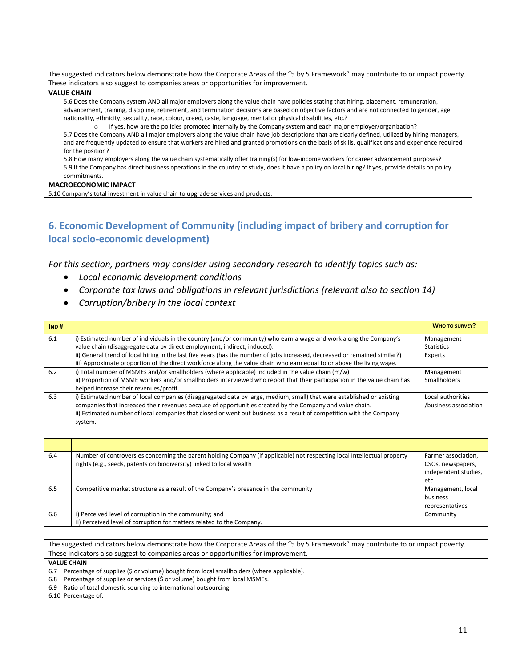The suggested indicators below demonstrate how the Corporate Areas of the "5 by 5 Framework" may contribute to or impact poverty. These indicators also suggest to companies areas or opportunities for improvement.

### **VALUE CHAIN**

5.6 Does the Company system AND all major employers along the value chain have policies stating that hiring, placement, remuneration, advancement, training, discipline, retirement, and termination decisions are based on objective factors and are not connected to gender, age, nationality, ethnicity, sexuality, race, colour, creed, caste, language, mental or physical disabilities, etc.?

o If yes, how are the policies promoted internally by the Company system and each major employer/organization? 5.7 Does the Company AND all major employers along the value chain have job descriptions that are clearly defined, utilized by hiring managers, and are frequently updated to ensure that workers are hired and granted promotions on the basis of skills, qualifications and experience required for the position?

5.8 How many employers along the value chain systematically offer training(s) for low-income workers for career advancement purposes? 5.9 If the Company has direct business operations in the country of study, does it have a policy on local hiring? If yes, provide details on policy commitments.

### **MACROECONOMIC IMPACT**

5.10 Company's total investment in value chain to upgrade services and products.

## **6. Economic Development of Community (including impact of bribery and corruption for local socio-economic development)**

*For this section, partners may consider using secondary research to identify topics such as:*

- *Local economic development conditions*
- *Corporate tax laws and obligations in relevant jurisdictions (relevant also to section 14)*
- *Corruption/bribery in the local context*

| IND# |                                                                                                                             | <b>WHO TO SURVEY?</b> |
|------|-----------------------------------------------------------------------------------------------------------------------------|-----------------------|
| 6.1  | i) Estimated number of individuals in the country (and/or community) who earn a wage and work along the Company's           | Management            |
|      | value chain (disaggregate data by direct employment, indirect, induced).                                                    | <b>Statistics</b>     |
|      | ii) General trend of local hiring in the last five years (has the number of jobs increased, decreased or remained similar?) | Experts               |
|      | iii) Approximate proportion of the direct workforce along the value chain who earn equal to or above the living wage.       |                       |
| 6.2  | i) Total number of MSMEs and/or smallholders (where applicable) included in the value chain (m/w)                           | Management            |
|      | ii) Proportion of MSME workers and/or smallholders interviewed who report that their participation in the value chain has   | <b>Smallholders</b>   |
|      | helped increase their revenues/profit.                                                                                      |                       |
| 6.3  | i) Estimated number of local companies (disaggregated data by large, medium, small) that were established or existing       | Local authorities     |
|      | companies that increased their revenues because of opportunities created by the Company and value chain.                    | /business association |
|      | ii) Estimated number of local companies that closed or went out business as a result of competition with the Company        |                       |
|      | system.                                                                                                                     |                       |

| 6.4 | Number of controversies concerning the parent holding Company (if applicable) not respecting local Intellectual property | Farmer association,  |
|-----|--------------------------------------------------------------------------------------------------------------------------|----------------------|
|     | rights (e.g., seeds, patents on biodiversity) linked to local wealth                                                     | CSOs, newspapers,    |
|     |                                                                                                                          | independent studies, |
|     |                                                                                                                          | etc.                 |
| 6.5 | Competitive market structure as a result of the Company's presence in the community                                      | Management, local    |
|     |                                                                                                                          | business             |
|     |                                                                                                                          | representatives      |
| 6.6 | i) Perceived level of corruption in the community; and                                                                   | Community            |
|     | ii) Perceived level of corruption for matters related to the Company.                                                    |                      |

The suggested indicators below demonstrate how the Corporate Areas of the "5 by 5 Framework" may contribute to or impact poverty. These indicators also suggest to companies areas or opportunities for improvement. **VALUE CHAIN**  6.7 Percentage of supplies (\$ or volume) bought from local smallholders (where applicable). 6.8 Percentage of supplies or services (\$ or volume) bought from local MSMEs.

6.9 Ratio of total domestic sourcing to international outsourcing.

6.10 Percentage of: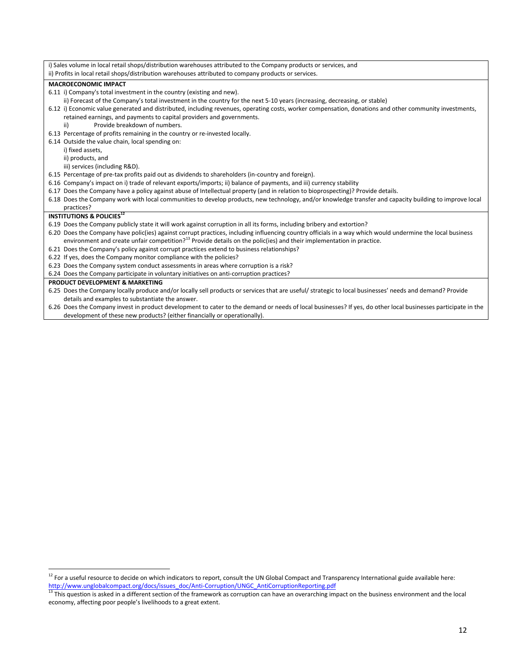| i) Sales volume in local retail shops/distribution warehouses attributed to the Company products or services, and                                             |
|---------------------------------------------------------------------------------------------------------------------------------------------------------------|
| ii) Profits in local retail shops/distribution warehouses attributed to company products or services.                                                         |
| <b>MACROECONOMIC IMPACT</b>                                                                                                                                   |
| 6.11 i) Company's total investment in the country (existing and new).                                                                                         |
| ii) Forecast of the Company's total investment in the country for the next 5-10 years (increasing, decreasing, or stable)                                     |
| 6.12 i) Economic value generated and distributed, including revenues, operating costs, worker compensation, donations and other community investments,        |
| retained earnings, and payments to capital providers and governments.                                                                                         |
| Provide breakdown of numbers.<br>ii)                                                                                                                          |
| 6.13 Percentage of profits remaining in the country or re-invested locally.                                                                                   |
| 6.14 Outside the value chain, local spending on:                                                                                                              |
| i) fixed assets,                                                                                                                                              |
| ii) products, and                                                                                                                                             |
| iii) services (including R&D).                                                                                                                                |
| 6.15 Percentage of pre-tax profits paid out as dividends to shareholders (in-country and foreign).                                                            |
| 6.16 Company's impact on i) trade of relevant exports/imports; ii) balance of payments, and iii) currency stability                                           |
| 6.17 Does the Company have a policy against abuse of Intellectual property (and in relation to bioprospecting)? Provide details.                              |
| 6.18 Does the Company work with local communities to develop products, new technology, and/or knowledge transfer and capacity building to improve local       |
| practices?                                                                                                                                                    |
| <b>INSTITUTIONS &amp; POLICIES<sup>12</sup></b>                                                                                                               |
| 6.19 Does the Company publicly state it will work against corruption in all its forms, including bribery and extortion?                                       |
| 6.20 Does the Company have polic(ies) against corrupt practices, including influencing country officials in a way which would undermine the local business    |
| environment and create unfair competition? <sup>13</sup> Provide details on the polic(ies) and their implementation in practice.                              |
| 6.21 Does the Company's policy against corrupt practices extend to business relationships?                                                                    |
| 6.22 If yes, does the Company monitor compliance with the policies?                                                                                           |
| 6.23 Does the Company system conduct assessments in areas where corruption is a risk?                                                                         |
| 6.24 Does the Company participate in voluntary initiatives on anti-corruption practices?                                                                      |
| PRODUCT DEVELOPMENT & MARKETING                                                                                                                               |
| 6.25 Does the Company locally produce and/or locally sell products or services that are useful/ strategic to local businesses' needs and demand? Provide      |
| details and examples to substantiate the answer.                                                                                                              |
| 6.26 Does the Company invest in product development to cater to the demand or needs of local businesses? If yes, do other local businesses participate in the |
| development of these new products? (either financially or operationally).                                                                                     |

l  $^{12}$  For a useful resource to decide on which indicators to report, consult the UN Global Compact and Transparency International guide available here: [http://www.unglobalcompact.org/docs/issues\\_doc/Anti-Corruption/UNGC\\_AntiCorruptionReporting.pdf](http://www.unglobalcompact.org/docs/issues_doc/Anti-Corruption/UNGC_AntiCorruptionReporting.pdf) 

 $^{13}$  This question is asked in a different section of the framework as corruption can have an overarching impact on the business environment and the local economy, affecting poor people's livelihoods to a great extent.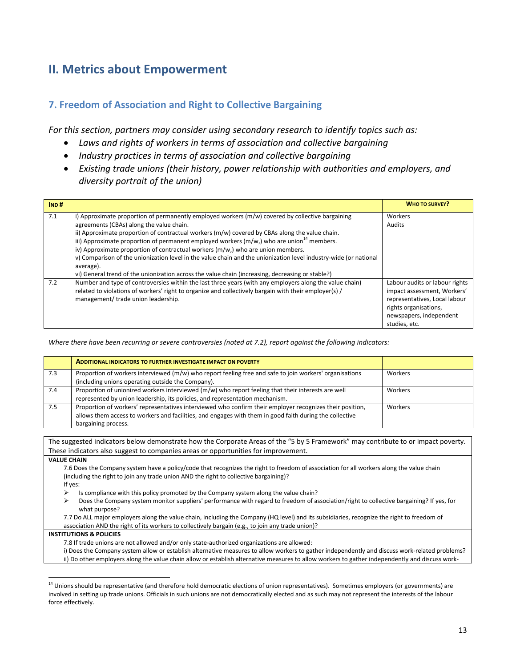# **II. Metrics about Empowerment**

### **7. Freedom of Association and Right to Collective Bargaining**

*For this section, partners may consider using secondary research to identify topics such as:*

- *Laws and rights of workers in terms of association and collective bargaining*
- *Industry practices in terms of association and collective bargaining*
- *Existing trade unions (their history, power relationship with authorities and employers, and diversity portrait of the union)*

| IND# |                                                                                                                                                                                                                                                                                                                                                                                                                                                                                                                                                                                                                                                                                     | <b>WHO TO SURVEY?</b>                                                                                                                                               |
|------|-------------------------------------------------------------------------------------------------------------------------------------------------------------------------------------------------------------------------------------------------------------------------------------------------------------------------------------------------------------------------------------------------------------------------------------------------------------------------------------------------------------------------------------------------------------------------------------------------------------------------------------------------------------------------------------|---------------------------------------------------------------------------------------------------------------------------------------------------------------------|
| 7.1  | i) Approximate proportion of permanently employed workers (m/w) covered by collective bargaining<br>agreements (CBAs) along the value chain.<br>ii) Approximate proportion of contractual workers (m/w) covered by CBAs along the value chain.<br>iii) Approximate proportion of permanent employed workers ( $m/w$ ,) who are union <sup>14</sup> members.<br>iv) Approximate proportion of contractual workers (m/w,) who are union members.<br>v) Comparison of the unionization level in the value chain and the unionization level industry-wide (or national<br>average).<br>vi) General trend of the unionization across the value chain (increasing, decreasing or stable?) | Workers<br>Audits                                                                                                                                                   |
| 7.2  | Number and type of controversies within the last three years (with any employers along the value chain)<br>related to violations of workers' right to organize and collectively bargain with their employer(s) /<br>management/ trade union leadership.                                                                                                                                                                                                                                                                                                                                                                                                                             | Labour audits or labour rights<br>impact assessment, Workers'<br>representatives, Local labour<br>rights organisations,<br>newspapers, independent<br>studies, etc. |

*Where there have been recurring or severe controversies (noted at 7.2), report against the following indicators:*

|     | <b>ADDITIONAL INDICATORS TO FURTHER INVESTIGATE IMPACT ON POVERTY</b>                                                                                                                                                                      |         |
|-----|--------------------------------------------------------------------------------------------------------------------------------------------------------------------------------------------------------------------------------------------|---------|
| 7.3 | Proportion of workers interviewed (m/w) who report feeling free and safe to join workers' organisations                                                                                                                                    | Workers |
|     | (including unions operating outside the Company).                                                                                                                                                                                          |         |
| 7.4 | Proportion of unionized workers interviewed (m/w) who report feeling that their interests are well                                                                                                                                         | Workers |
|     | represented by union leadership, its policies, and representation mechanism.                                                                                                                                                               |         |
| 7.5 | Proportion of workers' representatives interviewed who confirm their employer recognizes their position,<br>allows them access to workers and facilities, and engages with them in good faith during the collective<br>bargaining process. | Workers |

The suggested indicators below demonstrate how the Corporate Areas of the "5 by 5 Framework" may contribute to or impact poverty. These indicators also suggest to companies areas or opportunities for improvement.

**VALUE CHAIN** 

 $\overline{\phantom{a}}$ 

7.6 Does the Company system have a policy/code that recognizes the right to freedom of association for all workers along the value chain (including the right to join any trade union AND the right to collective bargaining)? If yes:

- $\triangleright$  Is compliance with this policy promoted by the Company system along the value chain?
- ▶ Does the Company system monitor suppliers' performance with regard to freedom of association/right to collective bargaining? If yes, for what purpose?

7.7 Do ALL major employers along the value chain, including the Company (HQ level) and its subsidiaries, recognize the right to freedom of association AND the right of its workers to collectively bargain (e.g., to join any trade union)?

### **INSTITUTIONS & POLICIES**

- 7.8 If trade unions are not allowed and/or only state-authorized organizations are allowed:
- i) Does the Company system allow or establish alternative measures to allow workers to gather independently and discuss work-related problems? ii) Do other employers along the value chain allow or establish alternative measures to allow workers to gather independently and discuss work-

<sup>&</sup>lt;sup>14</sup> Unions should be representative (and therefore hold democratic elections of union representatives). Sometimes employers (or governments) are involved in setting up trade unions. Officials in such unions are not democratically elected and as such may not represent the interests of the labour force effectively.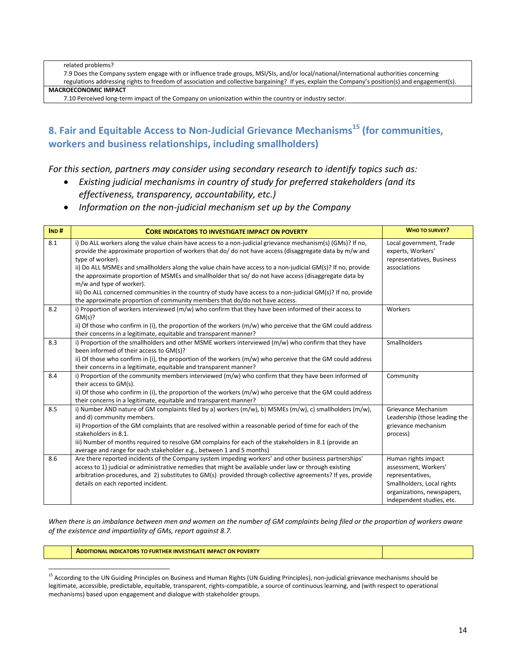related problems?

7.9 Does the Company system engage with or influence trade groups, MSI/SIs, and/or local/national/international authorities concerning regulations addressing rights to freedom of association and collective bargaining? If yes, explain the Company's position(s) and engagement(s).

**MACROECONOMIC IMPACT**

7.10 Perceived long-term impact of the Company on unionization within the country or industry sector.

## **8. Fair and Equitable Access to Non-Judicial Grievance Mechanisms <sup>15</sup> (for communities, workers and business relationships, including smallholders)**

*For this section, partners may consider using secondary research to identify topics such as:*

- *Existing judicial mechanisms in country of study for preferred stakeholders (and its effectiveness, transparency, accountability, etc.)*
- *Information on the non-judicial mechanism set up by the Company*

| IND# | <b>CORE INDICATORS TO INVESTIGATE IMPACT ON POVERTY</b>                                                                                                                                                                                                                                                                                                                                                                                                                                                                                                                                                                                                                                      | <b>WHO TO SURVEY?</b>                                                                                                                                    |
|------|----------------------------------------------------------------------------------------------------------------------------------------------------------------------------------------------------------------------------------------------------------------------------------------------------------------------------------------------------------------------------------------------------------------------------------------------------------------------------------------------------------------------------------------------------------------------------------------------------------------------------------------------------------------------------------------------|----------------------------------------------------------------------------------------------------------------------------------------------------------|
| 8.1  | i) Do ALL workers along the value chain have access to a non-judicial grievance mechanism(s) (GMs)? If no,<br>provide the approximate proportion of workers that do/do not have access (disaggregate data by m/w and<br>type of worker).<br>ii) Do ALL MSMEs and smallholders along the value chain have access to a non-judicial GM(s)? If no, provide<br>the approximate proportion of MSMEs and smallholder that so/ do not have access (disaggregate data by<br>m/w and type of worker).<br>iii) Do ALL concerned communities in the country of study have access to a non-judicial GM(s)? If no, provide<br>the approximate proportion of community members that do/do not have access. | Local government, Trade<br>experts, Workers'<br>representatives, Business<br>associations                                                                |
| 8.2  | i) Proportion of workers interviewed (m/w) who confirm that they have been informed of their access to<br>GM(s)?<br>ii) Of those who confirm in (i), the proportion of the workers $(m/w)$ who perceive that the GM could address<br>their concerns in a legitimate, equitable and transparent manner?                                                                                                                                                                                                                                                                                                                                                                                       | Workers                                                                                                                                                  |
| 8.3  | i) Proportion of the smallholders and other MSME workers interviewed (m/w) who confirm that they have<br>been informed of their access to GM(s)?<br>ii) Of those who confirm in (i), the proportion of the workers $(m/w)$ who perceive that the GM could address<br>their concerns in a legitimate, equitable and transparent manner?                                                                                                                                                                                                                                                                                                                                                       | Smallholders                                                                                                                                             |
| 8.4  | i) Proportion of the community members interviewed (m/w) who confirm that they have been informed of<br>their access to GM(s).<br>ii) Of those who confirm in (i), the proportion of the workers (m/w) who perceive that the GM could address<br>their concerns in a legitimate, equitable and transparent manner?                                                                                                                                                                                                                                                                                                                                                                           | Community                                                                                                                                                |
| 8.5  | i) Number AND nature of GM complaints filed by a) workers (m/w), b) MSMEs (m/w), c) smallholders (m/w),<br>and d) community members.<br>ii) Proportion of the GM complaints that are resolved within a reasonable period of time for each of the<br>stakeholders in 8.1.<br>iii) Number of months required to resolve GM complains for each of the stakeholders in 8.1 (provide an<br>average and range for each stakeholder e.g., between 1 and 5 months)                                                                                                                                                                                                                                   | Grievance Mechanism<br>Leadership (those leading the<br>grievance mechanism<br>process)                                                                  |
| 8.6  | Are there reported incidents of the Company system impeding workers' and other business partnerships'<br>access to 1) judicial or administrative remedies that might be available under law or through existing<br>arbitration procedures, and 2) substitutes to GM(s) provided through collective agreements? If yes, provide<br>details on each reported incident.                                                                                                                                                                                                                                                                                                                         | Human rights impact<br>assessment, Workers'<br>representatives,<br>Smallholders, Local rights<br>organizations, newspapers,<br>independent studies, etc. |

*When there is an imbalance between men and women on the number of GM complaints being filed or the proportion of workers aware of the existence and impartiality of GMs, report against 8.7.*

**ADDITIONAL INDICATORS TO FURTHER INVESTIGATE IMPACT ON POVERTY**

l

<sup>&</sup>lt;sup>15</sup> According to the UN Guiding Principles on Business and Human Rights (UN Guiding Principles), non-judicial grievance mechanisms should be legitimate, accessible, predictable, equitable, transparent, rights-compatible, a source of continuous learning, and (with respect to operational mechanisms) based upon engagement and dialogue with stakeholder groups.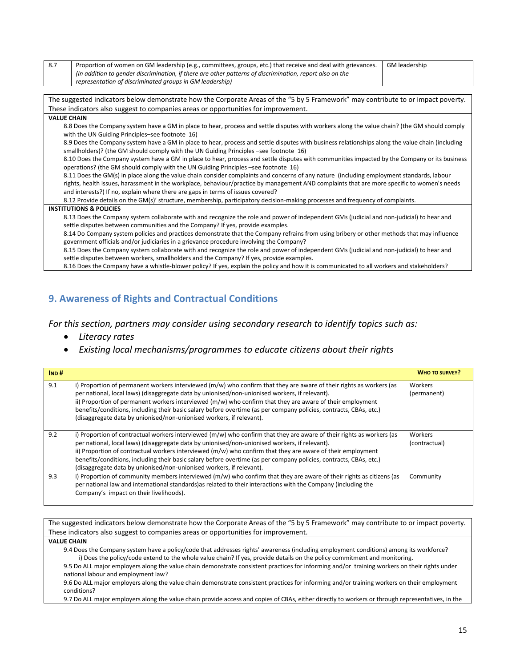| 8.7 | Proportion of women on GM leadership (e.g., committees, groups, etc.) that receive and deal with grievances.                                     | GM leadership |
|-----|--------------------------------------------------------------------------------------------------------------------------------------------------|---------------|
|     | (In addition to gender discrimination, if there are other patterns of discrimination, report also on the                                         |               |
|     | representation of discriminated groups in GM leadership)                                                                                         |               |
|     |                                                                                                                                                  |               |
|     | The suggested indicators below demonstrate how the Corporate Areas of the "5 by 5 Framework" may contribute to or impact poverty.                |               |
|     | These indicators also suggest to companies areas or opportunities for improvement.                                                               |               |
|     | <b>VALUE CHAIN</b>                                                                                                                               |               |
|     | 8.8 Does the Company system have a GM in place to hear, process and settle disputes with workers along the value chain? (the GM should comply    |               |
|     | with the UN Guiding Principles-see footnote 16)                                                                                                  |               |
|     | 8.9 Does the Company system have a GM in place to hear, process and settle disputes with business relationships along the value chain (including |               |
|     | smallholders)? (the GM should comply with the UN Guiding Principles -see footnote 16)                                                            |               |
|     | 8.10 Does the Company system have a GM in place to hear, process and settle disputes with communities impacted by the Company or its business    |               |
|     | operations? (the GM should comply with the UN Guiding Principles -see footnote 16)                                                               |               |
|     | 8.11 Does the GM(s) in place along the value chain consider complaints and concerns of any nature (including employment standards, labour        |               |
|     | rights, health issues, harassment in the workplace, behaviour/practice by management AND complaints that are more specific to women's needs      |               |
|     | and interests?) If no, explain where there are gaps in terms of issues covered?                                                                  |               |
|     | 8.12 Provide details on the GM(s)' structure, membership, participatory decision-making processes and frequency of complaints.                   |               |
|     | <b>INSTITUTIONS &amp; POLICIES</b>                                                                                                               |               |
|     | 8.13 Does the Company system collaborate with and recognize the role and power of independent GMs (judicial and non-judicial) to hear and        |               |
|     | settle disputes between communities and the Company? If yes, provide examples.                                                                   |               |
|     | 8.14 Do Company system policies and practices demonstrate that the Company refrains from using bribery or other methods that may influence       |               |
|     | government officials and/or judiciaries in a grievance procedure involving the Company?                                                          |               |
|     | 8.15 Does the Company system collaborate with and recognize the role and power of independent GMs (judicial and non-judicial) to hear and        |               |
|     | settle disputes between workers, smallholders and the Company? If yes, provide examples.                                                         |               |
|     | 8.16 Does the Company have a whistle-blower policy? If yes, explain the policy and how it is communicated to all workers and stakeholders?       |               |

## **9. Awareness of Rights and Contractual Conditions**

*For this section, partners may consider using secondary research to identify topics such as:*

- *Literacy rates*
- *Existing local mechanisms/programmes to educate citizens about their rights*

| IND# |                                                                                                                                                                                                                                                                                                                                                                                                                                                                                                                                        | <b>WHO TO SURVEY?</b>    |
|------|----------------------------------------------------------------------------------------------------------------------------------------------------------------------------------------------------------------------------------------------------------------------------------------------------------------------------------------------------------------------------------------------------------------------------------------------------------------------------------------------------------------------------------------|--------------------------|
| 9.1  | i) Proportion of permanent workers interviewed (m/w) who confirm that they are aware of their rights as workers (as<br>per national, local laws) (disaggregate data by unionised/non-unionised workers, if relevant).<br>ii) Proportion of permanent workers interviewed $(m/w)$ who confirm that they are aware of their employment<br>benefits/conditions, including their basic salary before overtime (as per company policies, contracts, CBAs, etc.)<br>(disaggregate data by unionised/non-unionised workers, if relevant).     | Workers<br>(permanent)   |
| 9.2  | i) Proportion of contractual workers interviewed (m/w) who confirm that they are aware of their rights as workers (as<br>per national, local laws) (disaggregate data by unionised/non-unionised workers, if relevant).<br>ii) Proportion of contractual workers interviewed $(m/w)$ who confirm that they are aware of their employment<br>benefits/conditions, including their basic salary before overtime (as per company policies, contracts, CBAs, etc.)<br>(disaggregate data by unionised/non-unionised workers, if relevant). | Workers<br>(contractual) |
| 9.3  | i) Proportion of community members interviewed (m/w) who confirm that they are aware of their rights as citizens (as<br>per national law and international standards) as related to their interactions with the Company (including the<br>Company's impact on their livelihoods).                                                                                                                                                                                                                                                      | Community                |

The suggested indicators below demonstrate how the Corporate Areas of the "5 by 5 Framework" may contribute to or impact poverty. These indicators also suggest to companies areas or opportunities for improvement. **VALUE CHAIN**  9.4 Does the Company system have a policy/code that addresses rights' awareness (including employment conditions) among its workforce? i) Does the policy/code extend to the whole value chain? If yes, provide details on the policy commitment and monitoring. 9.5 Do ALL major employers along the value chain demonstrate consistent practices for informing and/or training workers on their rights under national labour and employment law? 9.6 Do ALL major employers along the value chain demonstrate consistent practices for informing and/or training workers on their employment conditions? 9.7 Do ALL major employers along the value chain provide access and copies of CBAs, either directly to workers or through representatives, in the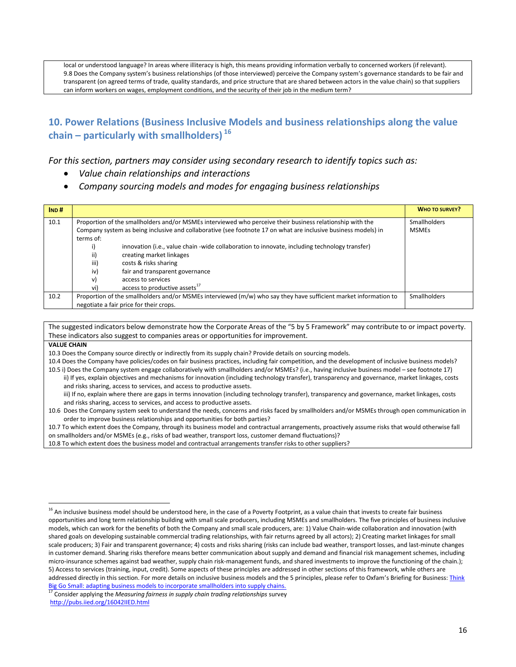local or understood language? In areas where illiteracy is high, this means providing information verbally to concerned workers (if relevant). 9.8 Does the Company system's business relationships (of those interviewed) perceive the Company system's governance standards to be fair and transparent (on agreed terms of trade, quality standards, and price structure that are shared between actors in the value chain) so that suppliers can inform workers on wages, employment conditions, and the security of their job in the medium term?

## **10. Power Relations (Business Inclusive Models and business relationships along the value chain – particularly with smallholders) <sup>16</sup>**

### *For this section, partners may consider using secondary research to identify topics such as:*

- *Value chain relationships and interactions*
- *Company sourcing models and modes for engaging business relationships*

| IND# |           |                                                                                                                  | <b>WHO TO SURVEY?</b> |
|------|-----------|------------------------------------------------------------------------------------------------------------------|-----------------------|
| 10.1 |           | Proportion of the smallholders and/or MSMEs interviewed who perceive their business relationship with the        | <b>Smallholders</b>   |
|      |           | Company system as being inclusive and collaborative (see footnote 17 on what are inclusive business models) in   | <b>MSMEs</b>          |
|      | terms of: |                                                                                                                  |                       |
|      |           | innovation (i.e., value chain -wide collaboration to innovate, including technology transfer)                    |                       |
|      | ii)       | creating market linkages                                                                                         |                       |
|      | iii)      | costs & risks sharing                                                                                            |                       |
|      | iv)       | fair and transparent governance                                                                                  |                       |
|      | v)        | access to services                                                                                               |                       |
|      | vi)       | access to productive assets <sup>17</sup>                                                                        |                       |
| 10.2 |           | Proportion of the smallholders and/or MSMEs interviewed (m/w) who say they have sufficient market information to | <b>Smallholders</b>   |
|      |           | negotiate a fair price for their crops.                                                                          |                       |

The suggested indicators below demonstrate how the Corporate Areas of the "5 by 5 Framework" may contribute to or impact poverty. These indicators also suggest to companies areas or opportunities for improvement.

**VALUE CHAIN** 

 $\overline{\phantom{a}}$ 

10.3 Does the Company source directly or indirectly from its supply chain? Provide details on sourcing models.

10.4 Does the Company have policies/codes on fair business practices, including fair competition, and the development of inclusive business models?

10.5 i) Does the Company system engage collaboratively with smallholders and/or MSMEs? (i.e., having inclusive business model – see footnote 17) ii) If yes, explain objectives and mechanisms for innovation (including technology transfer), transparency and governance, market linkages, costs and risks sharing, access to services, and access to productive assets. iii) If no, explain where there are gaps in terms innovation (including technology transfer), transparency and governance, market linkages, costs and risks sharing, access to services, and access to productive assets.

10.6 Does the Company system seek to understand the needs, concerns and risks faced by smallholders and/or MSMEs through open communication in order to improve business relationships and opportunities for both parties?

10.7 To which extent does the Company, through its business model and contractual arrangements, proactively assume risks that would otherwise fall on smallholders and/or MSMEs (e.g., risks of bad weather, transport loss, customer demand fluctuations)?

10.8 To which extent does the business model and contractual arrangements transfer risks to other suppliers?

<sup>&</sup>lt;sup>16</sup> An inclusive business model should be understood here, in the case of a Poverty Footprint, as a value chain that invests to create fair business opportunities and long term relationship building with small scale producers, including MSMEs and smallholders. The five principles of business inclusive models, which can work for the benefits of both the Company and small scale producers, are: 1) Value Chain-wide collaboration and innovation (with shared goals on developing sustainable commercial trading relationships, with fair returns agreed by all actors); 2) Creating market linkages for small scale producers; 3) Fair and transparent governance; 4) costs and risks sharing (risks can include bad weather, transport losses, and last-minute changes in customer demand. Sharing risks therefore means better communication about supply and demand and financial risk management schemes, including micro-insurance schemes against bad weather, supply chain risk-management funds, and shared investments to improve the functioning of the chain.); 5) Access to services (training, input, credit). Some aspects of these principles are addressed in other sections of this framework, while others are addressed directly in this section. For more details on inclusive business models and the 5 principles, please refer to Oxfam's Briefing for Business: Think [Big Go Small: adapting business models to incorporate smallholders into supply chains.](http://policy-practice.oxfam.org.uk/publications/download?Id=364612&dl=http://oxfamilibrary.openrepository.com/oxfam/bitstream/10546/114051/1/bfb06-think-big-go-small-010510-en.pdf)

<sup>17</sup> Consider applying the *Measuring fairness in supply chain trading relationships* survey <http://pubs.iied.org/16042IIED.html>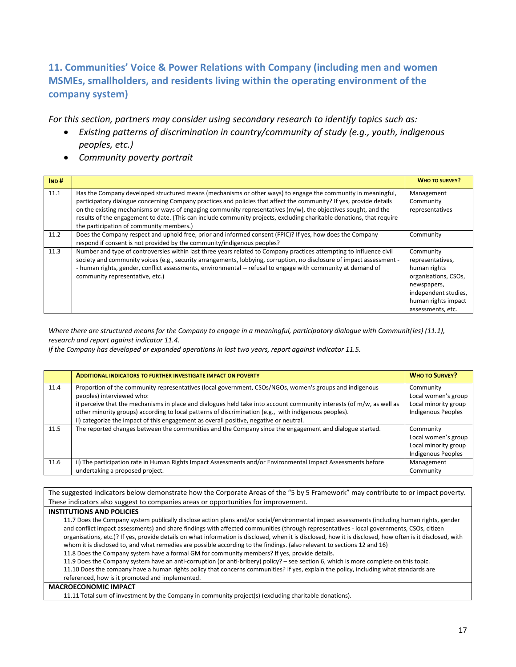## **11. Communities' Voice & Power Relations with Company (including men and women MSMEs, smallholders, and residents living within the operating environment of the company system)**

*For this section, partners may consider using secondary research to identify topics such as:*

- *Existing patterns of discrimination in country/community of study (e.g., youth, indigenous peoples, etc.)*
- *Community poverty portrait*

| IND# |                                                                                                                                                                                                                                                                                                                                                                                                                                                                                   | <b>WHO TO SURVEY?</b>                                                                                                                                    |
|------|-----------------------------------------------------------------------------------------------------------------------------------------------------------------------------------------------------------------------------------------------------------------------------------------------------------------------------------------------------------------------------------------------------------------------------------------------------------------------------------|----------------------------------------------------------------------------------------------------------------------------------------------------------|
| 11.1 | Has the Company developed structured means (mechanisms or other ways) to engage the community in meaningful,<br>participatory dialogue concerning Company practices and policies that affect the community? If yes, provide details<br>on the existing mechanisms or ways of engaging community representatives $(m/w)$ , the objectives sought, and the<br>results of the engagement to date. (This can include community projects, excluding charitable donations, that require | Management<br>Community<br>representatives                                                                                                               |
| 11.2 | the participation of community members.)<br>Does the Company respect and uphold free, prior and informed consent (FPIC)? If yes, how does the Company<br>respond if consent is not provided by the community/indigenous peoples?                                                                                                                                                                                                                                                  | Community                                                                                                                                                |
| 11.3 | Number and type of controversies within last three years related to Company practices attempting to influence civil<br>society and community voices (e.g., security arrangements, lobbying, corruption, no disclosure of impact assessment -<br>- human rights, gender, conflict assessments, environmental -- refusal to engage with community at demand of<br>community representative, etc.)                                                                                   | Community<br>representatives,<br>human rights<br>organisations, CSOs,<br>newspapers,<br>independent studies,<br>human rights impact<br>assessments, etc. |

*Where there are structured means for the Company to engage in a meaningful, participatory dialogue with Communit(ies) (11.1), research and report against indicator 11.4.*

*If the Company has developed or expanded operations in last two years, report against indicator 11.5.*

|      | <b>ADDITIONAL INDICATORS TO FURTHER INVESTIGATE IMPACT ON POVERTY</b>                                                                                                                                                                                                                                                                                                                                                                                            | <b>WHO TO SURVEY?</b>                                                                 |
|------|------------------------------------------------------------------------------------------------------------------------------------------------------------------------------------------------------------------------------------------------------------------------------------------------------------------------------------------------------------------------------------------------------------------------------------------------------------------|---------------------------------------------------------------------------------------|
| 11.4 | Proportion of the community representatives (local government, CSOs/NGOs, women's groups and indigenous<br>peoples) interviewed who:<br>i) perceive that the mechanisms in place and dialogues held take into account community interests (of m/w, as well as<br>other minority groups) according to local patterns of discrimination (e.g., with indigenous peoples).<br>ii) categorize the impact of this engagement as overall positive, negative or neutral. | Community<br>Local women's group<br>Local minority group<br><b>Indigenous Peoples</b> |
| 11.5 | The reported changes between the communities and the Company since the engagement and dialogue started.                                                                                                                                                                                                                                                                                                                                                          | Community<br>Local women's group<br>Local minority group<br>Indigenous Peoples        |
| 11.6 | ii) The participation rate in Human Rights Impact Assessments and/or Environmental Impact Assessments before<br>undertaking a proposed project.                                                                                                                                                                                                                                                                                                                  | Management<br>Community                                                               |

The suggested indicators below demonstrate how the Corporate Areas of the "5 by 5 Framework" may contribute to or impact poverty. These indicators also suggest to companies areas or opportunities for improvement.

### **INSTITUTIONS AND POLICIES**

11.7 Does the Company system publically disclose action plans and/or social/environmental impact assessments (including human rights, gender and conflict impact assessments) and share findings with affected communities (through representatives - local governments, CSOs, citizen organisations, etc.)? If yes, provide details on what information is disclosed, when it is disclosed, how it is disclosed, how often is it disclosed, with whom it is disclosed to, and what remedies are possible according to the findings. (also relevant to sections 12 and 16) 11.8 Does the Company system have a formal GM for community members? If yes, provide details.

11.9 Does the Company system have an anti-corruption (or anti-bribery) policy? – see section 6, which is more complete on this topic. 11.10 Does the company have a human rights policy that concerns communities? If yes, explain the policy, including what standards are

### referenced, how is it promoted and implemented.

### **MACROECONOMIC IMPACT**

11.11 Total sum of investment by the Company in community project(s) (excluding charitable donations).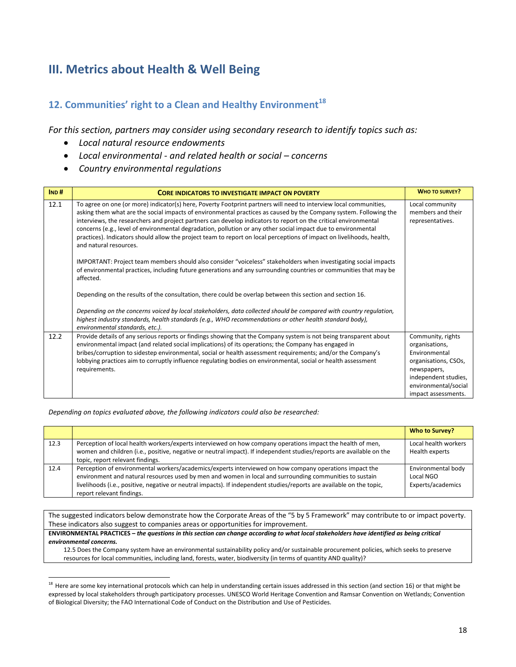# **III. Metrics about Health & Well Being**

## **12. Communities' right to a Clean and Healthy Environment<sup>18</sup>**

*For this section, partners may consider using secondary research to identify topics such as:*

- *Local natural resource endowments*
- *Local environmental - and related health or social – concerns*
- *Country environmental regulations*

| IND# | <b>CORE INDICATORS TO INVESTIGATE IMPACT ON POVERTY</b>                                                                                                                                                                                                                                                                                                                                                                                                                                                                                                                                                                       | <b>WHO TO SURVEY?</b>                                    |
|------|-------------------------------------------------------------------------------------------------------------------------------------------------------------------------------------------------------------------------------------------------------------------------------------------------------------------------------------------------------------------------------------------------------------------------------------------------------------------------------------------------------------------------------------------------------------------------------------------------------------------------------|----------------------------------------------------------|
| 12.1 | To agree on one (or more) indicator(s) here, Poverty Footprint partners will need to interview local communities,<br>asking them what are the social impacts of environmental practices as caused by the Company system. Following the<br>interviews, the researchers and project partners can develop indicators to report on the critical environmental<br>concerns (e.g., level of environmental degradation, pollution or any other social impact due to environmental<br>practices). Indicators should allow the project team to report on local perceptions of impact on livelihoods, health,<br>and natural resources. | Local community<br>members and their<br>representatives. |
|      | IMPORTANT: Project team members should also consider "voiceless" stakeholders when investigating social impacts<br>of environmental practices, including future generations and any surrounding countries or communities that may be<br>affected.                                                                                                                                                                                                                                                                                                                                                                             |                                                          |
|      | Depending on the results of the consultation, there could be overlap between this section and section 16.                                                                                                                                                                                                                                                                                                                                                                                                                                                                                                                     |                                                          |
|      | Depending on the concerns voiced by local stakeholders, data collected should be compared with country regulation,<br>highest industry standards, health standards (e.g., WHO recommendations or other health standard body),<br>environmental standards, etc.).                                                                                                                                                                                                                                                                                                                                                              |                                                          |
| 12.2 | Provide details of any serious reports or findings showing that the Company system is not being transparent about<br>environmental impact (and related social implications) of its operations; the Company has engaged in                                                                                                                                                                                                                                                                                                                                                                                                     | Community, rights<br>organisations,                      |
|      | bribes/corruption to sidestep environmental, social or health assessment requirements; and/or the Company's                                                                                                                                                                                                                                                                                                                                                                                                                                                                                                                   | Environmental                                            |
|      | lobbying practices aim to corruptly influence regulating bodies on environmental, social or health assessment                                                                                                                                                                                                                                                                                                                                                                                                                                                                                                                 | organisations, CSOs,                                     |
|      | requirements.                                                                                                                                                                                                                                                                                                                                                                                                                                                                                                                                                                                                                 | newspapers,                                              |
|      |                                                                                                                                                                                                                                                                                                                                                                                                                                                                                                                                                                                                                               | independent studies,                                     |
|      |                                                                                                                                                                                                                                                                                                                                                                                                                                                                                                                                                                                                                               | environmental/social                                     |
|      |                                                                                                                                                                                                                                                                                                                                                                                                                                                                                                                                                                                                                               | impact assessments.                                      |

*Depending on topics evaluated above, the following indicators could also be researched:*

 $\overline{\phantom{a}}$ 

|      |                                                                                                                                                                                                                                                                                                                                                                         | Who to Survey?                                       |
|------|-------------------------------------------------------------------------------------------------------------------------------------------------------------------------------------------------------------------------------------------------------------------------------------------------------------------------------------------------------------------------|------------------------------------------------------|
| 12.3 | Perception of local health workers/experts interviewed on how company operations impact the health of men,<br>women and children (i.e., positive, negative or neutral impact). If independent studies/reports are available on the<br>topic, report relevant findings.                                                                                                  | Local health workers<br>Health experts               |
| 12.4 | Perception of environmental workers/academics/experts interviewed on how company operations impact the<br>environment and natural resources used by men and women in local and surrounding communities to sustain<br>livelihoods (i.e., positive, negative or neutral impacts). If independent studies/reports are available on the topic,<br>report relevant findings. | Environmental body<br>Local NGO<br>Experts/academics |

The suggested indicators below demonstrate how the Corporate Areas of the "5 by 5 Framework" may contribute to or impact poverty. These indicators also suggest to companies areas or opportunities for improvement.

**ENVIRONMENTAL PRACTICES –** *the questions in this section can change according to what local stakeholders have identified as being critical environmental concerns.*

12.5 Does the Company system have an environmental sustainability policy and/or sustainable procurement policies, which seeks to preserve resources for local communities, including land, forests, water, biodiversity (in terms of quantity AND quality)?

 $^{18}$  Here are some key international protocols which can help in understanding certain issues addressed in this section (and section 16) or that might be expressed by local stakeholders through participatory processes. UNESCO World Heritage Convention and Ramsar Convention on Wetlands; Convention of Biological Diversity; the FAO International Code of Conduct on the Distribution and Use of Pesticides.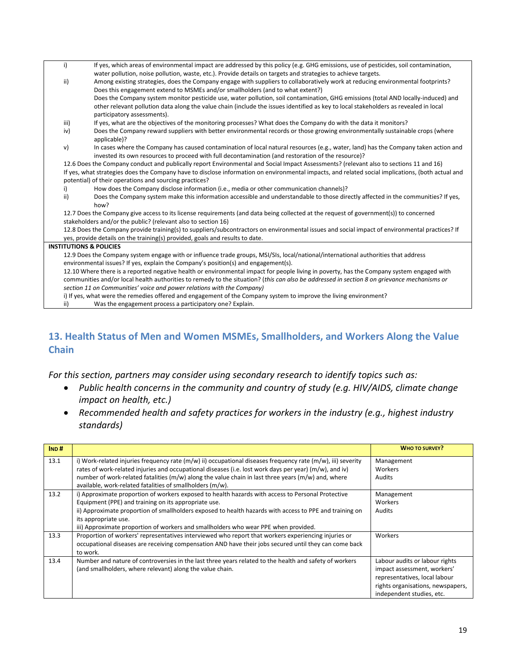| i)   | If yes, which areas of environmental impact are addressed by this policy (e.g. GHG emissions, use of pesticides, soil contamination,              |
|------|---------------------------------------------------------------------------------------------------------------------------------------------------|
|      | water pollution, noise pollution, waste, etc.). Provide details on targets and strategies to achieve targets.                                     |
| ii)  | Among existing strategies, does the Company engage with suppliers to collaboratively work at reducing environmental footprints?                   |
|      | Does this engagement extend to MSMEs and/or smallholders (and to what extent?)                                                                    |
|      | Does the Company system monitor pesticide use, water pollution, soil contamination, GHG emissions (total AND locally-induced) and                 |
|      | other relevant pollution data along the value chain (include the issues identified as key to local stakeholders as revealed in local              |
|      | participatory assessments).                                                                                                                       |
| iii) | If yes, what are the objectives of the monitoring processes? What does the Company do with the data it monitors?                                  |
| iv)  | Does the Company reward suppliers with better environmental records or those growing environmentally sustainable crops (where                     |
|      | applicable)?                                                                                                                                      |
| v)   | In cases where the Company has caused contamination of local natural resources (e.g., water, land) has the Company taken action and               |
|      | invested its own resources to proceed with full decontamination (and restoration of the resource)?                                                |
|      | 12.6 Does the Company conduct and publically report Environmental and Social Impact Assessments? (relevant also to sections 11 and 16)            |
|      | If yes, what strategies does the Company have to disclose information on environmental impacts, and related social implications, (both actual and |
|      | potential) of their operations and sourcing practices?                                                                                            |
| i)   | How does the Company disclose information (i.e., media or other communication channels)?                                                          |
| ii)  | Does the Company system make this information accessible and understandable to those directly affected in the communities? If yes,                |
|      | how?                                                                                                                                              |
|      | 12.7 Does the Company give access to its license requirements (and data being collected at the request of government(s)) to concerned             |
|      | stakeholders and/or the public? (relevant also to section 16)                                                                                     |
|      | 12.8 Does the Company provide training(s) to suppliers/subcontractors on environmental issues and social impact of environmental practices? If    |
|      | yes, provide details on the training(s) provided, goals and results to date.                                                                      |
|      | <b>INSTITUTIONS &amp; POLICIES</b>                                                                                                                |
|      | 12.9 Does the Company system engage with or influence trade groups, MSI/SIs, local/national/international authorities that address                |
|      | environmental issues? If yes, explain the Company's position(s) and engagement(s).                                                                |
|      | 12.10 Where there is a reported negative health or environmental impact for people living in poverty, has the Company system engaged with         |
|      | communities and/or local health authorities to remedy to the situation? (this can also be addressed in section 8 on grievance mechanisms or       |
|      | section 11 on Communities' voice and power relations with the Company)                                                                            |
|      | i) If yes, what were the remedies offered and engagement of the Company system to improve the living environment?                                 |
| ii)  | Was the engagement process a participatory one? Explain.                                                                                          |

## **13. Health Status of Men and Women MSMEs, Smallholders, and Workers Along the Value Chain**

*For this section, partners may consider using secondary research to identify topics such as:*

- *Public health concerns in the community and country of study (e.g. HIV/AIDS, climate change impact on health, etc.)*
- *Recommended health and safety practices for workers in the industry (e.g., highest industry standards)*

| IND# |                                                                                                                  | <b>WHO TO SURVEY?</b>             |
|------|------------------------------------------------------------------------------------------------------------------|-----------------------------------|
| 13.1 | i) Work-related injuries frequency rate $(m/w)$ ii) occupational diseases frequency rate $(m/w)$ , iii) severity | Management                        |
|      | rates of work-related injuries and occupational diseases (i.e. lost work days per year) (m/w), and iv)           | Workers                           |
|      | number of work-related fatalities (m/w) along the value chain in last three years (m/w) and, where               | Audits                            |
|      | available, work-related fatalities of smallholders (m/w).                                                        |                                   |
| 13.2 | i) Approximate proportion of workers exposed to health hazards with access to Personal Protective                | Management                        |
|      | Equipment (PPE) and training on its appropriate use.                                                             | Workers                           |
|      | ii) Approximate proportion of smallholders exposed to health hazards with access to PPE and training on          | Audits                            |
|      | its appropriate use.                                                                                             |                                   |
|      | iii) Approximate proportion of workers and smallholders who wear PPE when provided.                              |                                   |
| 13.3 | Proportion of workers' representatives interviewed who report that workers experiencing injuries or              | Workers                           |
|      | occupational diseases are receiving compensation AND have their jobs secured until they can come back            |                                   |
|      | to work.                                                                                                         |                                   |
| 13.4 | Number and nature of controversies in the last three years related to the health and safety of workers           | Labour audits or labour rights    |
|      | (and smallholders, where relevant) along the value chain.                                                        | impact assessment, workers'       |
|      |                                                                                                                  | representatives, local labour     |
|      |                                                                                                                  | rights organisations, newspapers, |
|      |                                                                                                                  | independent studies, etc.         |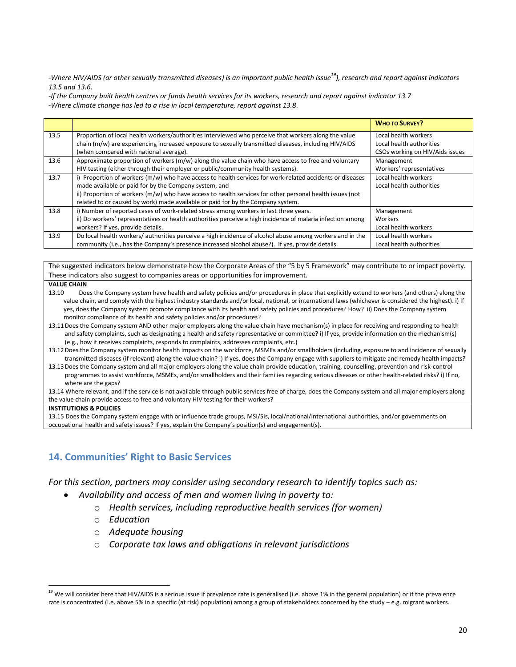*-Where HIV/AIDS (or other sexually transmitted diseases) is an important public health issue<sup>19</sup>), research and report against indicators 13.5 and 13.6.*

*-If the Company built health centres or funds health services for its workers, research and report against indicator 13.7 -Where climate change has led to a rise in local temperature, report against 13.8.*

|      |                                                                                                            | <b>WHO TO SURVEY?</b>           |
|------|------------------------------------------------------------------------------------------------------------|---------------------------------|
| 13.5 | Proportion of local health workers/authorities interviewed who perceive that workers along the value       | Local health workers            |
|      | chain (m/w) are experiencing increased exposure to sexually transmitted diseases, including HIV/AIDS       | Local health authorities        |
|      | (when compared with national average).                                                                     | CSOs working on HIV/Aids issues |
| 13.6 | Approximate proportion of workers $(m/w)$ along the value chain who have access to free and voluntary      | Management                      |
|      | HIV testing (either through their employer or public/community health systems).                            | Workers' representatives        |
| 13.7 | i) Proportion of workers (m/w) who have access to health services for work-related accidents or diseases   | Local health workers            |
|      | made available or paid for by the Company system, and                                                      | Local health authorities        |
|      | ii) Proportion of workers (m/w) who have access to health services for other personal health issues (not   |                                 |
|      | related to or caused by work) made available or paid for by the Company system.                            |                                 |
| 13.8 | i) Number of reported cases of work-related stress among workers in last three years.                      | Management                      |
|      | ii) Do workers' representatives or health authorities perceive a high incidence of malaria infection among | Workers                         |
|      | workers? If yes, provide details.                                                                          | Local health workers            |
| 13.9 | Do local health workers/ authorities perceive a high incidence of alcohol abuse among workers and in the   | Local health workers            |
|      | community (i.e., has the Company's presence increased alcohol abuse?). If yes, provide details.            | Local health authorities        |

The suggested indicators below demonstrate how the Corporate Areas of the "5 by 5 Framework" may contribute to or impact poverty. These indicators also suggest to companies areas or opportunities for improvement.

#### **VALUE CHAIN**

- 13.10 Does the Company system have health and safety policies and/or procedures in place that explicitly extend to workers (and others) along the value chain, and comply with the highest industry standards and/or local, national, or international laws (whichever is considered the highest). i) If yes, does the Company system promote compliance with its health and safety policies and procedures? How? ii) Does the Company system monitor compliance of its health and safety policies and/or procedures?
- 13.11 Does the Company system AND other major employers along the value chain have mechanism(s) in place for receiving and responding to health and safety complaints, such as designating a health and safety representative or committee? i) If yes, provide information on the mechanism(s) (e.g., how it receives complaints, responds to complaints, addresses complaints, etc.)
- 13.12Does the Company system monitor health impacts on the workforce, MSMEs and/or smallholders (including, exposure to and incidence of sexually transmitted diseases (if relevant) along the value chain? i) If yes, does the Company engage with suppliers to mitigate and remedy health impacts? 13.13Does the Company system and all major employers along the value chain provide education, training, counselling, prevention and risk-control
- programmes to assist workforce, MSMEs, and/or smallholders and their families regarding serious diseases or other health-related risks? i) If no, where are the gans?

13.14 Where relevant, and if the service is not available through public services free of charge, does the Company system and all major employers along the value chain provide access to free and voluntary HIV testing for their workers?

#### **INSTITUTIONS & POLICIES**

 $\overline{\phantom{a}}$ 

13.15 Does the Company system engage with or influence trade groups, MSI/SIs, local/national/international authorities, and/or governments on occupational health and safety issues? If yes, explain the Company's position(s) and engagement(s).

### **14. Communities' Right to Basic Services**

*For this section, partners may consider using secondary research to identify topics such as:*

- *Availability and access of men and women living in poverty to:*
	- o *Health services, including reproductive health services (for women)*
	- o *Education*
	- o *Adequate housing*
	- o *Corporate tax laws and obligations in relevant jurisdictions*

<sup>&</sup>lt;sup>19</sup> We will consider here that HIV/AIDS is a serious issue if prevalence rate is generalised (i.e. above 1% in the general population) or if the prevalence rate is concentrated (i.e. above 5% in a specific (at risk) population) among a group of stakeholders concerned by the study – e.g. migrant workers.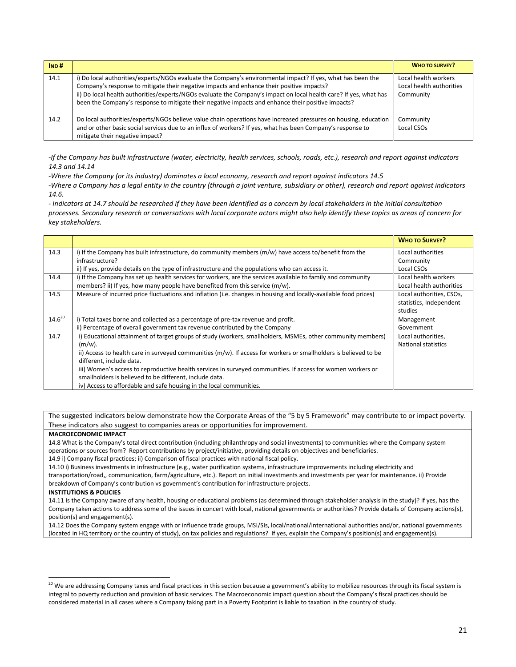| IND# |                                                                                                                                                                                                                                                                                                                                                                                                                                     | <b>WHO TO SURVEY?</b>                                         |
|------|-------------------------------------------------------------------------------------------------------------------------------------------------------------------------------------------------------------------------------------------------------------------------------------------------------------------------------------------------------------------------------------------------------------------------------------|---------------------------------------------------------------|
| 14.1 | i) Do local authorities/experts/NGOs evaluate the Company's environmental impact? If yes, what has been the<br>Company's response to mitigate their negative impacts and enhance their positive impacts?<br>ii) Do local health authorities/experts/NGOs evaluate the Company's impact on local health care? If yes, what has<br>been the Company's response to mitigate their negative impacts and enhance their positive impacts? | Local health workers<br>Local health authorities<br>Community |
| 14.2 | Do local authorities/experts/NGOs believe value chain operations have increased pressures on housing, education<br>and or other basic social services due to an influx of workers? If yes, what has been Company's response to<br>mitigate their negative impact?                                                                                                                                                                   | Community<br>Local CSOs                                       |

*-If the Company has built infrastructure (water, electricity, health services, schools, roads, etc.), research and report against indicators 14.3 and 14.14* 

*-Where the Company (or its industry) dominates a local economy, research and report against indicators 14.5*

*-Where a Company has a legal entity in the country (through a joint venture, subsidiary or other), research and report against indicators 14.6.*

*- Indicators at 14.7 should be researched if they have been identified as a concern by local stakeholders in the initial consultation processes. Secondary research or conversations with local corporate actors might also help identify these topics as areas of concern for key stakeholders.*

|             |                                                                                                                  | <b>WHO TO SURVEY?</b>      |
|-------------|------------------------------------------------------------------------------------------------------------------|----------------------------|
| 14.3        | i) If the Company has built infrastructure, do community members (m/w) have access to/benefit from the           | Local authorities          |
|             | infrastructure?                                                                                                  | Community                  |
|             | ii) If yes, provide details on the type of infrastructure and the populations who can access it.                 | Local CSOs                 |
| 14.4        | i) If the Company has set up health services for workers, are the services available to family and community     | Local health workers       |
|             | members? ii) If yes, how many people have benefited from this service (m/w).                                     | Local health authorities   |
| 14.5        | Measure of incurred price fluctuations and inflation (i.e. changes in housing and locally-available food prices) | Local authorities, CSOs,   |
|             |                                                                                                                  | statistics, Independent    |
|             |                                                                                                                  | studies                    |
| $14.6^{20}$ | i) Total taxes borne and collected as a percentage of pre-tax revenue and profit.                                | Management                 |
|             | ii) Percentage of overall government tax revenue contributed by the Company                                      | Government                 |
| 14.7        | i) Educational attainment of target groups of study (workers, smallholders, MSMEs, other community members)      | Local authorities,         |
|             | $(m/w)$ .                                                                                                        | <b>National statistics</b> |
|             | ii) Access to health care in surveyed communities (m/w). If access for workers or smallholders is believed to be |                            |
|             | different, include data.                                                                                         |                            |
|             | iii) Women's access to reproductive health services in surveyed communities. If access for women workers or      |                            |
|             | smallholders is believed to be different, include data.                                                          |                            |
|             | iv) Access to affordable and safe housing in the local communities.                                              |                            |

The suggested indicators below demonstrate how the Corporate Areas of the "5 by 5 Framework" may contribute to or impact poverty. These indicators also suggest to companies areas or opportunities for improvement.

### **MACROECONOMIC IMPACT**

14.8 What is the Company's total direct contribution (including philanthropy and social investments) to communities where the Company system operations or sources from? Report contributions by project/initiative, providing details on objectives and beneficiaries.

14.9 i) Company fiscal practices; ii) Comparison of fiscal practices with national fiscal policy.

14.10 i) Business investments in infrastructure (e.g., water purification systems, infrastructure improvements including electricity and transportation/road,, communication, farm/agriculture, etc.). Report on initial investments and investments per year for maintenance. ii) Provide breakdown of Company's contribution vs government's contribution for infrastructure projects.

#### **INSTITUTIONS & POLICIES**

 $\overline{\phantom{a}}$ 

14.11 Is the Company aware of any health, housing or educational problems (as determined through stakeholder analysis in the study)? If yes, has the Company taken actions to address some of the issues in concert with local, national governments or authorities? Provide details of Company actions(s), position(s) and engagement(s).

14.12 Does the Company system engage with or influence trade groups, MSI/SIs, local/national/international authorities and/or, national governments (located in HQ territory or the country of study), on tax policies and regulations? If yes, explain the Company's position(s) and engagement(s).

 $^{20}$  We are addressing Company taxes and fiscal practices in this section because a government's ability to mobilize resources through its fiscal system is integral to poverty reduction and provision of basic services. The Macroeconomic impact question about the Company's fiscal practices should be considered material in all cases where a Company taking part in a Poverty Footprint is liable to taxation in the country of study.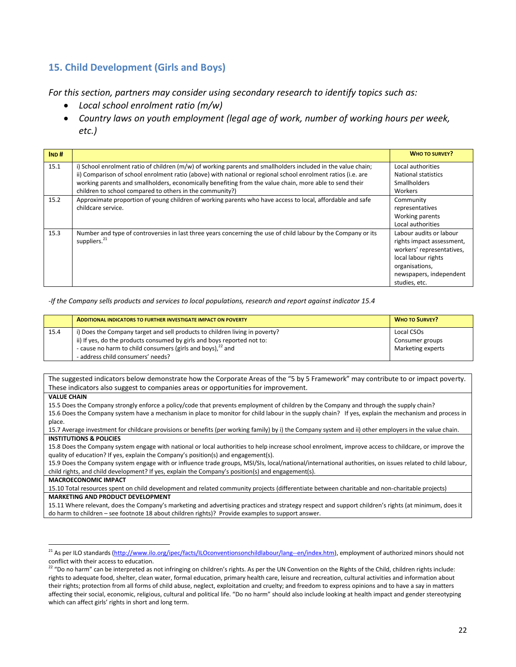## **15. Child Development (Girls and Boys)**

*For this section, partners may consider using secondary research to identify topics such as:*

- *Local school enrolment ratio (m/w)*
- *Country laws on youth employment (legal age of work, number of working hours per week, etc.)*

| IND# |                                                                                                               | <b>WHO TO SURVEY?</b>     |
|------|---------------------------------------------------------------------------------------------------------------|---------------------------|
| 15.1 | i) School enrolment ratio of children (m/w) of working parents and smallholders included in the value chain;  | Local authorities         |
|      | ii) Comparison of school enrolment ratio (above) with national or regional school enrolment ratios (i.e. are  | National statistics       |
|      | working parents and smallholders, economically benefiting from the value chain, more able to send their       | <b>Smallholders</b>       |
|      | children to school compared to others in the community?)                                                      | Workers                   |
| 15.2 | Approximate proportion of young children of working parents who have access to local, affordable and safe     | Community                 |
|      | childcare service.                                                                                            | representatives           |
|      |                                                                                                               | Working parents           |
|      |                                                                                                               | Local authorities         |
| 15.3 | Number and type of controversies in last three years concerning the use of child labour by the Company or its | Labour audits or labour   |
|      | suppliers. <sup>21</sup>                                                                                      | rights impact assessment, |
|      |                                                                                                               | workers' representatives, |
|      |                                                                                                               | local labour rights       |
|      |                                                                                                               | organisations,            |
|      |                                                                                                               | newspapers, independent   |
|      |                                                                                                               | studies, etc.             |

### *-If the Company sells products and services to local populations, research and report against indicator 15.4*

|      | <b>ADDITIONAL INDICATORS TO FURTHER INVESTIGATE IMPACT ON POVERTY</b>       | <b>WHO TO SURVEY?</b>  |
|------|-----------------------------------------------------------------------------|------------------------|
| 15.4 | i) Does the Company target and sell products to children living in poverty? | Local CSO <sub>S</sub> |
|      | ii) If yes, do the products consumed by girls and boys reported not to:     | Consumer groups        |
|      | - cause no harm to child consumers (girls and boys), $^{22}$ and            | Marketing experts      |
|      | - address child consumers' needs?                                           |                        |

The suggested indicators below demonstrate how the Corporate Areas of the "5 by 5 Framework" may contribute to or impact poverty. These indicators also suggest to companies areas or opportunities for improvement.

### **VALUE CHAIN**

l

15.5 Does the Company strongly enforce a policy/code that prevents employment of children by the Company and through the supply chain? 15.6 Does the Company system have a mechanism in place to monitor for child labour in the supply chain? If yes, explain the mechanism and process in place.

15.7 Average investment for childcare provisions or benefits (per working family) by i) the Company system and ii) other employers in the value chain. **INSTITUTIONS & POLICIES**

15.8 Does the Company system engage with national or local authorities to help increase school enrolment, improve access to childcare, or improve the quality of education? If yes, explain the Company's position(s) and engagement(s).

15.9 Does the Company system engage with or influence trade groups, MSI/SIs, local/national/international authorities, on issues related to child labour, child rights, and child development? If yes, explain the Company's position(s) and engagement(s).

**MACROECONOMIC IMPACT**

15.10 Total resources spent on child development and related community projects (differentiate between charitable and non-charitable projects) **MARKETING AND PRODUCT DEVELOPMENT**

15.11 Where relevant, does the Company's marketing and advertising practices and strategy respect and support children's rights (at minimum, does it do harm to children – see footnote 18 about children rights)? Provide examples to support answer.

<sup>&</sup>lt;sup>21</sup> As per ILO standards [\(http://www.ilo.org/ipec/facts/ILOconventionsonchildlabour/lang--en/index.htm\)](http://www.ilo.org/ipec/facts/ILOconventionsonchildlabour/lang--en/index.htm), employment of authorized minors should not conflict with their access to education.

 $^{22}$  "Do no harm" can be interpreted as not infringing on children's rights. As per the UN Convention on the Rights of the Child, children rights include: rights to adequate food, shelter, clean water, formal education, primary health care, leisure and recreation, cultural activities and information about their rights; protection from all forms of child abuse, neglect, exploitation and cruelty; and freedom to express opinions and to have a say in matters affecting their social, economic, religious, cultural and political life. "Do no harm" should also include looking at health impact and gender stereotyping which can affect girls' rights in short and long term.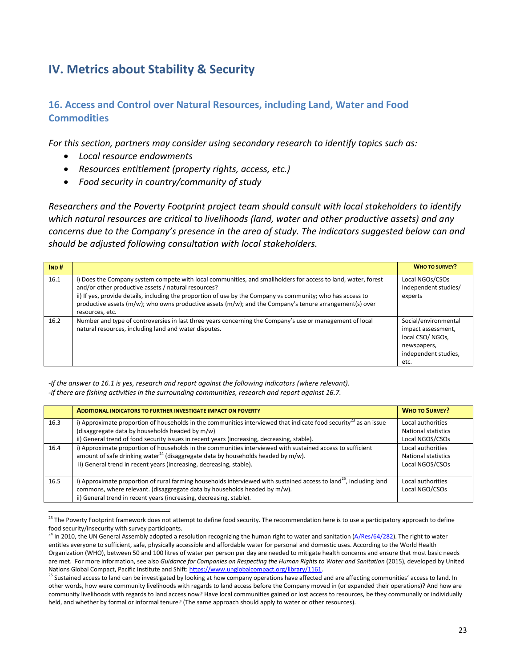# **IV. Metrics about Stability & Security**

## **16. Access and Control over Natural Resources, including Land, Water and Food Commodities**

*For this section, partners may consider using secondary research to identify topics such as:*

*Local resource endowments*

l

- *Resources entitlement (property rights, access, etc.)*
- *Food security in country/community of study*

*Researchers and the Poverty Footprint project team should consult with local stakeholders to identify which natural resources are critical to livelihoods (land, water and other productive assets) and any concerns due to the Company's presence in the area of study. The indicators suggested below can and should be adjusted following consultation with local stakeholders.*

| IND# |                                                                                                                                                                                                                                                                                                                                                                                                                           | <b>WHO TO SURVEY?</b>                                                                                        |
|------|---------------------------------------------------------------------------------------------------------------------------------------------------------------------------------------------------------------------------------------------------------------------------------------------------------------------------------------------------------------------------------------------------------------------------|--------------------------------------------------------------------------------------------------------------|
| 16.1 | i) Does the Company system compete with local communities, and smallholders for access to land, water, forest<br>and/or other productive assets / natural resources?<br>ii) If yes, provide details, including the proportion of use by the Company vs community; who has access to<br>productive assets ( $m/w$ ); who owns productive assets ( $m/w$ ); and the Company's tenure arrangement(s) over<br>resources, etc. | Local NGOs/CSOs<br>Independent studies/<br>experts                                                           |
| 16.2 | Number and type of controversies in last three years concerning the Company's use or management of local<br>natural resources, including land and water disputes.                                                                                                                                                                                                                                                         | Social/environmental<br>impact assessment,<br>local CSO/NGOs,<br>newspapers,<br>independent studies,<br>etc. |

*-If the answer to 16.1 is yes, research and report against the following indicators (where relevant). -If there are fishing activities in the surrounding communities, research and report against 16.7.*

|      | <b>ADDITIONAL INDICATORS TO FURTHER INVESTIGATE IMPACT ON POVERTY</b>                                                          | <b>WHO TO SURVEY?</b>      |
|------|--------------------------------------------------------------------------------------------------------------------------------|----------------------------|
| 16.3 | i) Approximate proportion of households in the communities interviewed that indicate food security <sup>23</sup> as an issue   | Local authorities          |
|      | (disaggregate data by households headed by m/w)                                                                                | <b>National statistics</b> |
|      | ii) General trend of food security issues in recent years (increasing, decreasing, stable).                                    | Local NGOS/CSOs            |
| 16.4 | i) Approximate proportion of households in the communities interviewed with sustained access to sufficient                     | Local authorities          |
|      | amount of safe drinking water <sup>24</sup> (disaggregate data by households headed by m/w).                                   | National statistics        |
|      | ii) General trend in recent years (increasing, decreasing, stable).                                                            | Local NGOS/CSOs            |
|      |                                                                                                                                |                            |
| 16.5 | i) Approximate proportion of rural farming households interviewed with sustained access to land <sup>25</sup> , including land | Local authorities          |
|      | commons, where relevant. (disaggregate data by households headed by m/w).                                                      | Local NGO/CSOs             |
|      | ii) General trend in recent years (increasing, decreasing, stable).                                                            |                            |

 $^{23}$  The Poverty Footprint framework does not attempt to define food security. The recommendation here is to use a participatory approach to define food security/insecurity with survey participants.

 $^{24}$  In 2010, the UN General Assembly adopted a resolution recognizing the human right to water and sanitation ( $\frac{A/Res/64/282}$ ). The right to water entitles everyone to sufficient, safe, physically accessible and affordable water for personal and domestic uses. According to the World Health Organization (WHO), between 50 and 100 litres of water per person per day are needed to mitigate health concerns and ensure that most basic needs are met. For more information, see also *Guidance for Companies on Respecting the Human Rights to Water and Sanitation* (2015), developed by United Nations Global Compact, Pacific Institute and Shift[: https://www.unglobalcompact.org/library/1161.](https://www.unglobalcompact.org/library/1161) 

<sup>&</sup>lt;sup>25</sup> Sustained access to land can be investigated by looking at how company operations have affected and are affecting communities' access to land. In other words, how were community livelihoods with regards to land access before the Company moved in (or expanded their operations)? And how are community livelihoods with regards to land access now? Have local communities gained or lost access to resources, be they communally or individually held, and whether by formal or informal tenure? (The same approach should apply to water or other resources).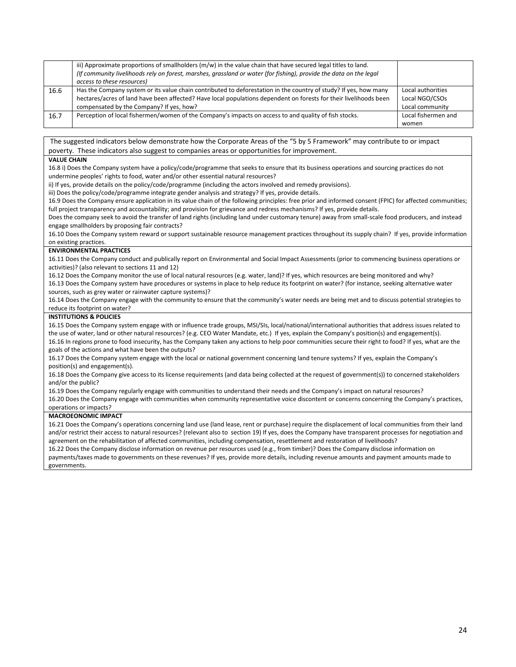|      | iii) Approximate proportions of smallholders (m/w) in the value chain that have secured legal titles to land.<br>(If community livelihoods rely on forest, marshes, grassland or water (for fishing), provide the data on the legal<br>access to these resources)                 |                                                        |
|------|-----------------------------------------------------------------------------------------------------------------------------------------------------------------------------------------------------------------------------------------------------------------------------------|--------------------------------------------------------|
| 16.6 | Has the Company system or its value chain contributed to deforestation in the country of study? If yes, how many<br>hectares/acres of land have been affected? Have local populations dependent on forests for their livelihoods been<br>compensated by the Company? If yes, how? | Local authorities<br>Local NGO/CSOs<br>Local community |
| 16.7 | Perception of local fishermen/women of the Company's impacts on access to and quality of fish stocks.                                                                                                                                                                             | Local fishermen and<br>women                           |

The suggested indicators below demonstrate how the Corporate Areas of the "5 by 5 Framework" may contribute to or impact poverty. These indicators also suggest to companies areas or opportunities for improvement.

#### **VALUE CHAIN**

16.8 i) Does the Company system have a policy/code/programme that seeks to ensure that its business operations and sourcing practices do not undermine peoples' rights to food, water and/or other essential natural resources?

ii) If yes, provide details on the policy/code/programme (including the actors involved and remedy provisions).

iii) Does the policy/code/programme integrate gender analysis and strategy? If yes, provide details.

16.9 Does the Company ensure application in its value chain of the following principles: free prior and informed consent (FPIC) for affected communities; full project transparency and accountability; and provision for grievance and redress mechanisms? If yes, provide details.

Does the company seek to avoid the transfer of land rights (including land under customary tenure) away from small-scale food producers, and instead engage smallholders by proposing fair contracts?

16.10 Does the Company system reward or support sustainable resource management practices throughout its supply chain? If yes, provide information on existing practices.

#### **ENVIRONMENTAL PRACTICES**

16.11 Does the Company conduct and publically report on Environmental and Social Impact Assessments (prior to commencing business operations or activities)? (also relevant to sections 11 and 12)

16.12 Does the Company monitor the use of local natural resources (e.g. water, land)? If yes, which resources are being monitored and why? 16.13 Does the Company system have procedures or systems in place to help reduce its footprint on water? (for instance, seeking alternative water sources, such as grey water or rainwater capture systems)?

16.14 Does the Company engage with the community to ensure that the community's water needs are being met and to discuss potential strategies to reduce its footprint on water?

#### **INSTITUTIONS & POLICIES**

16.15 Does the Company system engage with or influence trade groups, MSI/SIs, local/national/international authorities that address issues related to the use of water, land or other natural resources? (e.g. CEO Water Mandate, etc.) If yes, explain the Company's position(s) and engagement(s). 16.16 In regions prone to food insecurity, has the Company taken any actions to help poor communities secure their right to food? If yes, what are the goals of the actions and what have been the outputs?

16.17 Does the Company system engage with the local or national government concerning land tenure systems? If yes, explain the Company's position(s) and engagement(s).

16.18 Does the Company give access to its license requirements (and data being collected at the request of government(s)) to concerned stakeholders and/or the public?

16.19 Does the Company regularly engage with communities to understand their needs and the Company's impact on natural resources?

16.20 Does the Company engage with communities when community representative voice discontent or concerns concerning the Company's practices, operations or impacts?

### **MACROEONOMIC IMPACT**

16.21 Does the Company's operations concerning land use (land lease, rent or purchase) require the displacement of local communities from their land and/or restrict their access to natural resources? (relevant also to section 19) If yes, does the Company have transparent processes for negotiation and agreement on the rehabilitation of affected communities, including compensation, resettlement and restoration of livelihoods? 16.22 Does the Company disclose information on revenue per resources used (e.g., from timber)? Does the Company disclose information on

payments/taxes made to governments on these revenues? If yes, provide more details, including revenue amounts and payment amounts made to governments.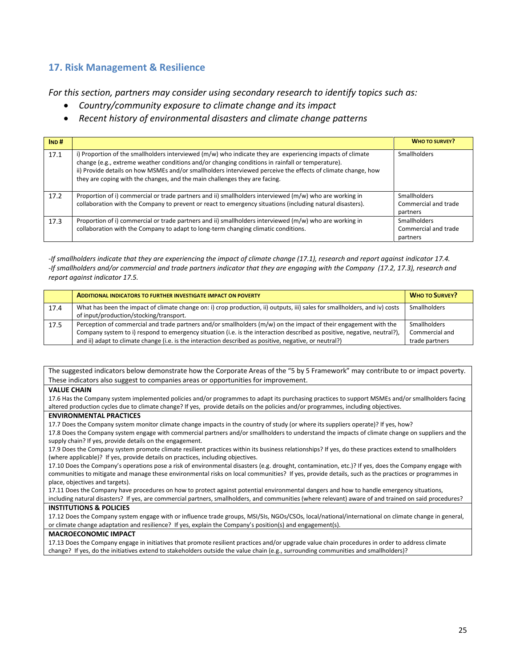### **17. Risk Management & Resilience**

*For this section, partners may consider using secondary research to identify topics such as:*

- *Country/community exposure to climate change and its impact*
- *Recent history of environmental disasters and climate change patterns*

| IND# |                                                                                                                                                                                                                                                                                                                                                                                                             | <b>WHO TO SURVEY?</b>                                   |
|------|-------------------------------------------------------------------------------------------------------------------------------------------------------------------------------------------------------------------------------------------------------------------------------------------------------------------------------------------------------------------------------------------------------------|---------------------------------------------------------|
| 17.1 | i) Proportion of the smallholders interviewed (m/w) who indicate they are experiencing impacts of climate<br>change (e.g., extreme weather conditions and/or changing conditions in rainfall or temperature).<br>ii) Provide details on how MSMEs and/or smallholders interviewed perceive the effects of climate change, how<br>they are coping with the changes, and the main challenges they are facing. | Smallholders                                            |
| 17.2 | Proportion of i) commercial or trade partners and ii) smallholders interviewed (m/w) who are working in<br>collaboration with the Company to prevent or react to emergency situations (including natural disasters).                                                                                                                                                                                        | <b>Smallholders</b><br>Commercial and trade<br>partners |
| 17.3 | Proportion of i) commercial or trade partners and ii) smallholders interviewed (m/w) who are working in<br>collaboration with the Company to adapt to long-term changing climatic conditions.                                                                                                                                                                                                               | <b>Smallholders</b><br>Commercial and trade<br>partners |

*-If smallholders indicate that they are experiencing the impact of climate change (17.1), research and report against indicator 17.4. -If smallholders and/or commercial and trade partners indicator that they are engaging with the Company (17.2, 17.3), research and report against indicator 17.5.*

|      | <b>ADDITIONAL INDICATORS TO FURTHER INVESTIGATE IMPACT ON POVERTY</b>                                                      | <b>WHO TO SURVEY?</b> |
|------|----------------------------------------------------------------------------------------------------------------------------|-----------------------|
| 17.4 | What has been the impact of climate change on: i) crop production, ii) outputs, iii) sales for smallholders, and iv) costs | <b>Smallholders</b>   |
|      | of input/production/stocking/transport.                                                                                    |                       |
| 17.5 | Perception of commercial and trade partners and/or smallholders (m/w) on the impact of their engagement with the           | <b>Smallholders</b>   |
|      | Company system to i) respond to emergency situation (i.e. is the interaction described as positive, negative, neutral?),   | Commercial and        |
|      | and ii) adapt to climate change (i.e. is the interaction described as positive, negative, or neutral?)                     | trade partners        |

The suggested indicators below demonstrate how the Corporate Areas of the "5 by 5 Framework" may contribute to or impact poverty. These indicators also suggest to companies areas or opportunities for improvement.

### **VALUE CHAIN**

17.6 Has the Company system implemented policies and/or programmes to adapt its purchasing practices to support MSMEs and/or smallholders facing altered production cycles due to climate change? If yes, provide details on the policies and/or programmes, including objectives.

### **ENVIRONMENTAL PRACTICES**

17.7 Does the Company system monitor climate change impacts in the country of study (or where its suppliers operate)? If yes, how?

17.8 Does the Company system engage with commercial partners and/or smallholders to understand the impacts of climate change on suppliers and the supply chain? If yes, provide details on the engagement.

17.9 Does the Company system promote climate resilient practices within its business relationships? If yes, do these practices extend to smallholders (where applicable)? If yes, provide details on practices, including objectives.

17.10 Does the Company's operations pose a risk of environmental disasters (e.g. drought, contamination, etc.)? If yes, does the Company engage with communities to mitigate and manage these environmental risks on local communities? If yes, provide details, such as the practices or programmes in place, objectives and targets).

17.11 Does the Company have procedures on how to protect against potential environmental dangers and how to handle emergency situations, including natural disasters? If yes, are commercial partners, smallholders, and communities (where relevant) aware of and trained on said procedures?

### **INSTITUTIONS & POLICIES**

17.12 Does the Company system engage with or influence trade groups, MSI/SIs, NGOs/CSOs, local/national/international on climate change in general, or climate change adaptation and resilience? If yes, explain the Company's position(s) and engagement(s).

### **MACROECONOMIC IMPACT**

17.13 Does the Company engage in initiatives that promote resilient practices and/or upgrade value chain procedures in order to address climate change? If yes, do the initiatives extend to stakeholders outside the value chain (e.g., surrounding communities and smallholders)?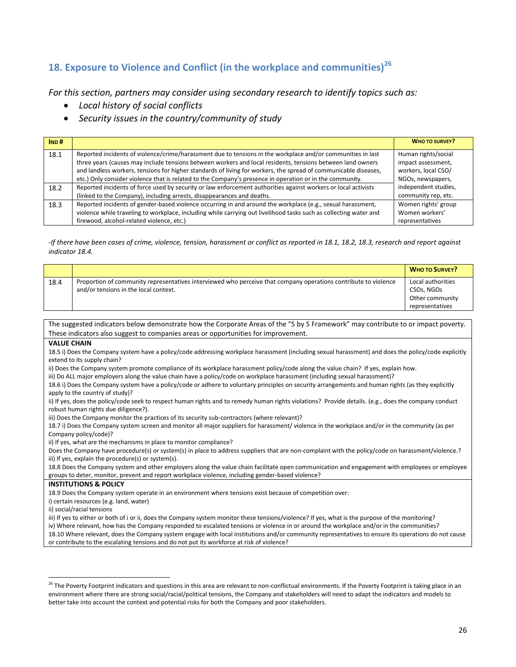# **18. Exposure to Violence and Conflict (in the workplace and communities)<sup>26</sup>**

*For this section, partners may consider using secondary research to identify topics such as:*

*Local history of social conflicts*

 $\overline{\phantom{a}}$ 

*Security issues in the country/community of study*

| IND# |                                                                                                                   | <b>WHO TO SURVEY?</b> |
|------|-------------------------------------------------------------------------------------------------------------------|-----------------------|
| 18.1 | Reported incidents of violence/crime/harassment due to tensions in the workplace and/or communities in last       | Human rights/social   |
|      | three years (causes may include tensions between workers and local residents, tensions between land owners        | impact assessment,    |
|      | and landless workers, tensions for higher standards of living for workers, the spread of communicable diseases,   | workers, local CSO/   |
|      | etc.) Only consider violence that is related to the Company's presence in operation or in the community.          | NGOs, newspapers,     |
| 18.2 | Reported incidents of force used by security or law enforcement authorities against workers or local activists    | independent studies,  |
|      | (linked to the Company), including arrests, disappearances and deaths.                                            | community rep, etc.   |
| 18.3 | Reported incidents of gender-based violence occurring in and around the workplace (e.g., sexual harassment,       | Women rights' group   |
|      | violence while traveling to workplace, including while carrying out livelihood tasks such as collecting water and | Women workers'        |
|      | firewood, alcohol-related violence, etc.)                                                                         | representatives       |

*-If there have been cases of crime, violence, tension, harassment or conflict as reported in 18.1, 18.2, 18.3, research and report against indicator 18.4.*

|                                                                                                                                                                                               |                                                                                                                                                                                                                                                                   | <b>WHO TO SURVEY?</b>                                                 |  |
|-----------------------------------------------------------------------------------------------------------------------------------------------------------------------------------------------|-------------------------------------------------------------------------------------------------------------------------------------------------------------------------------------------------------------------------------------------------------------------|-----------------------------------------------------------------------|--|
| 18.4                                                                                                                                                                                          | Proportion of community representatives interviewed who perceive that company operations contribute to violence<br>and/or tensions in the local context.                                                                                                          | Local authorities<br>CSOs, NGOs<br>Other community<br>representatives |  |
|                                                                                                                                                                                               |                                                                                                                                                                                                                                                                   |                                                                       |  |
|                                                                                                                                                                                               | The suggested indicators below demonstrate how the Corporate Areas of the "5 by 5 Framework" may contribute to or impact poverty.                                                                                                                                 |                                                                       |  |
|                                                                                                                                                                                               | These indicators also suggest to companies areas or opportunities for improvement.                                                                                                                                                                                |                                                                       |  |
| <b>VALUE CHAIN</b>                                                                                                                                                                            |                                                                                                                                                                                                                                                                   |                                                                       |  |
|                                                                                                                                                                                               | 18.5 i) Does the Company system have a policy/code addressing workplace harassment (including sexual harassment) and does the policy/code explicitly<br>extend to its supply chain?                                                                               |                                                                       |  |
|                                                                                                                                                                                               | ii) Does the Company system promote compliance of its workplace harassment policy/code along the value chain? If yes, explain how.<br>iii) Do ALL major employers along the value chain have a policy/code on workplace harassment (including sexual harassment)? |                                                                       |  |
|                                                                                                                                                                                               | 18.6 i) Does the Company system have a policy/code or adhere to voluntary principles on security arrangements and human rights (as they explicitly<br>apply to the country of study)?                                                                             |                                                                       |  |
| ii) If yes, does the policy/code seek to respect human rights and to remedy human rights violations? Provide details. (e.g., does the company conduct<br>robust human rights due diligence?). |                                                                                                                                                                                                                                                                   |                                                                       |  |
| iii) Does the Company monitor the practices of its security sub-contractors (where relevant)?                                                                                                 |                                                                                                                                                                                                                                                                   |                                                                       |  |
| 18.7 i) Does the Company system screen and monitor all major suppliers for harassment/violence in the workplace and/or in the community (as per                                               |                                                                                                                                                                                                                                                                   |                                                                       |  |
| Company policy/code)?                                                                                                                                                                         |                                                                                                                                                                                                                                                                   |                                                                       |  |
|                                                                                                                                                                                               | ii) If yes, what are the mechanisms in place to monitor compliance?                                                                                                                                                                                               |                                                                       |  |
|                                                                                                                                                                                               | Does the Company have procedure(s) or system(s) in place to address suppliers that are non-complaint with the policy/code on harassment/violence.?                                                                                                                |                                                                       |  |
|                                                                                                                                                                                               | iii) If yes, explain the procedure(s) or system(s).<br>18.8 Does the Company system and other employers along the value chain facilitate open communication and engagement with employees or employee                                                             |                                                                       |  |
|                                                                                                                                                                                               | groups to deter, monitor, prevent and report workplace violence, including gender-based violence?                                                                                                                                                                 |                                                                       |  |
|                                                                                                                                                                                               | <b>INSTITUTIONS &amp; POLICY</b>                                                                                                                                                                                                                                  |                                                                       |  |
|                                                                                                                                                                                               | 18.9 Does the Company system operate in an environment where tensions exist because of competition over:                                                                                                                                                          |                                                                       |  |
|                                                                                                                                                                                               | i) certain resources (e.g. land, water)                                                                                                                                                                                                                           |                                                                       |  |
| ii) social/racial tensions                                                                                                                                                                    |                                                                                                                                                                                                                                                                   |                                                                       |  |
| iii) If yes to either or both of i or ii, does the Company system monitor these tensions/violence? If yes, what is the purpose of the monitoring?                                             |                                                                                                                                                                                                                                                                   |                                                                       |  |
|                                                                                                                                                                                               | iv) Where relevant, how has the Company responded to escalated tensions or violence in or around the workplace and/or in the communities?                                                                                                                         |                                                                       |  |
|                                                                                                                                                                                               | 18.10 Where relevant, does the Company system engage with local institutions and/or community representatives to ensure its operations do not cause                                                                                                               |                                                                       |  |
| or contribute to the escalating tensions and do not put its workforce at risk of violence?                                                                                                    |                                                                                                                                                                                                                                                                   |                                                                       |  |
|                                                                                                                                                                                               |                                                                                                                                                                                                                                                                   |                                                                       |  |
|                                                                                                                                                                                               |                                                                                                                                                                                                                                                                   |                                                                       |  |

<sup>&</sup>lt;sup>26</sup> The Poverty Footprint indicators and questions in this area are relevant to non-conflictual environments. If the Poverty Footprint is taking place in an environment where there are strong social/racial/political tensions, the Company and stakeholders will need to adapt the indicators and models to better take into account the context and potential risks for both the Company and poor stakeholders.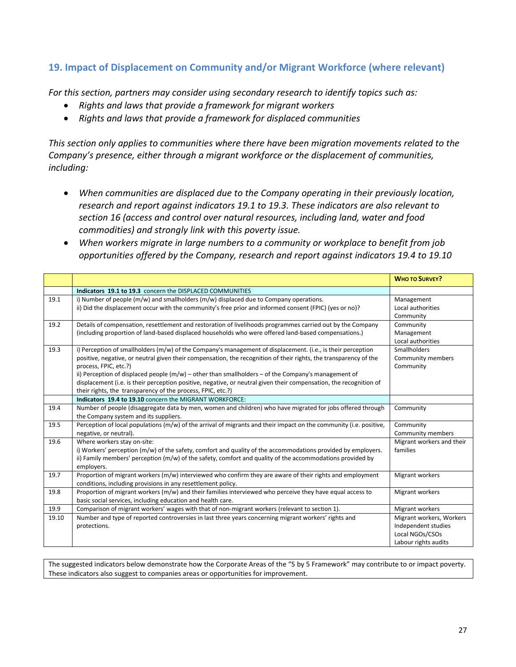## **19. Impact of Displacement on Community and/or Migrant Workforce (where relevant)**

*For this section, partners may consider using secondary research to identify topics such as:*

- *Rights and laws that provide a framework for migrant workers*
- *Rights and laws that provide a framework for displaced communities*

*This section only applies to communities where there have been migration movements related to the Company's presence, either through a migrant workforce or the displacement of communities, including:*

- *When communities are displaced due to the Company operating in their previously location, research and report against indicators 19.1 to 19.3. These indicators are also relevant to section 16 (access and control over natural resources, including land, water and food commodities) and strongly link with this poverty issue.*
- *When workers migrate in large numbers to a community or workplace to benefit from job opportunities offered by the Company, research and report against indicators 19.4 to 19.10*

|       |                                                                                                                                                                                                                                                                                                                                                                                                                                                                                                                                                         | <b>WHO TO SURVEY?</b>                                                                      |
|-------|---------------------------------------------------------------------------------------------------------------------------------------------------------------------------------------------------------------------------------------------------------------------------------------------------------------------------------------------------------------------------------------------------------------------------------------------------------------------------------------------------------------------------------------------------------|--------------------------------------------------------------------------------------------|
|       | Indicators 19.1 to 19.3 concern the DISPLACED COMMUNITIES                                                                                                                                                                                                                                                                                                                                                                                                                                                                                               |                                                                                            |
| 19.1  | i) Number of people $(m/w)$ and smallholders $(m/w)$ displaced due to Company operations.<br>ii) Did the displacement occur with the community's free prior and informed consent (FPIC) (yes or no)?                                                                                                                                                                                                                                                                                                                                                    | Management<br>Local authorities<br>Community                                               |
| 19.2  | Details of compensation, resettlement and restoration of livelihoods programmes carried out by the Company<br>(including proportion of land-based displaced households who were offered land-based compensations.)                                                                                                                                                                                                                                                                                                                                      | Community<br>Management<br>Local authorities                                               |
| 19.3  | i) Perception of smallholders (m/w) of the Company's management of displacement. (i.e., is their perception<br>positive, negative, or neutral given their compensation, the recognition of their rights, the transparency of the<br>process, FPIC, etc.?)<br>ii) Perception of displaced people $(m/w)$ – other than smallholders – of the Company's management of<br>displacement (i.e. is their perception positive, negative, or neutral given their compensation, the recognition of<br>their rights, the transparency of the process, FPIC, etc.?) | Smallholders<br>Community members<br>Community                                             |
|       | Indicators 19.4 to 19.10 concern the MIGRANT WORKFORCE:                                                                                                                                                                                                                                                                                                                                                                                                                                                                                                 |                                                                                            |
| 19.4  | Number of people (disaggregate data by men, women and children) who have migrated for jobs offered through<br>the Company system and its suppliers.                                                                                                                                                                                                                                                                                                                                                                                                     | Community                                                                                  |
| 19.5  | Perception of local populations $(m/w)$ of the arrival of migrants and their impact on the community (i.e. positive,<br>negative, or neutral).                                                                                                                                                                                                                                                                                                                                                                                                          | Community<br>Community members                                                             |
| 19.6  | Where workers stay on-site:<br>i) Workers' perception (m/w) of the safety, comfort and quality of the accommodations provided by employers.<br>ii) Family members' perception (m/w) of the safety, comfort and quality of the accommodations provided by<br>employers.                                                                                                                                                                                                                                                                                  | Migrant workers and their<br>families                                                      |
| 19.7  | Proportion of migrant workers (m/w) interviewed who confirm they are aware of their rights and employment<br>conditions, including provisions in any resettlement policy.                                                                                                                                                                                                                                                                                                                                                                               | Migrant workers                                                                            |
| 19.8  | Proportion of migrant workers (m/w) and their families interviewed who perceive they have equal access to<br>basic social services, including education and health care.                                                                                                                                                                                                                                                                                                                                                                                | Migrant workers                                                                            |
| 19.9  | Comparison of migrant workers' wages with that of non-migrant workers (relevant to section 1).                                                                                                                                                                                                                                                                                                                                                                                                                                                          | Migrant workers                                                                            |
| 19.10 | Number and type of reported controversies in last three years concerning migrant workers' rights and<br>protections.                                                                                                                                                                                                                                                                                                                                                                                                                                    | Migrant workers, Workers<br>Independent studies<br>Local NGOs/CSOs<br>Labour rights audits |

The suggested indicators below demonstrate how the Corporate Areas of the "5 by 5 Framework" may contribute to or impact poverty. These indicators also suggest to companies areas or opportunities for improvement.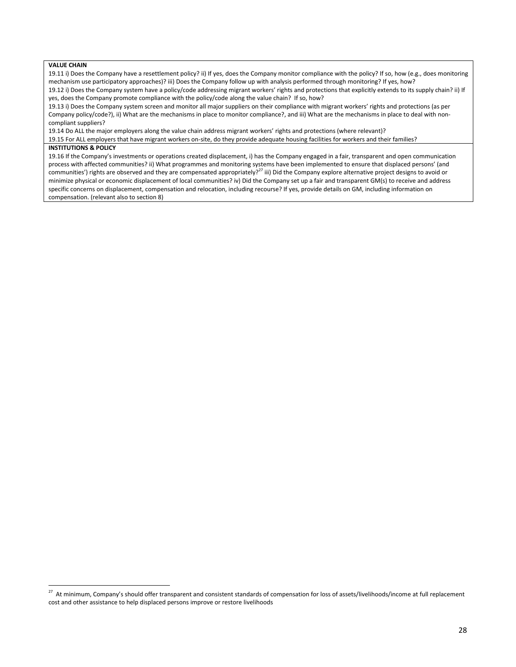### **VALUE CHAIN**

19.11 i) Does the Company have a resettlement policy? ii) If yes, does the Company monitor compliance with the policy? If so, how (e.g., does monitoring mechanism use participatory approaches)? iii) Does the Company follow up with analysis performed through monitoring? If yes, how?

19.12 i) Does the Company system have a policy/code addressing migrant workers' rights and protections that explicitly extends to its supply chain? ii) If yes, does the Company promote compliance with the policy/code along the value chain? If so, how?

19.13 i) Does the Company system screen and monitor all major suppliers on their compliance with migrant workers' rights and protections (as per Company policy/code?), ii) What are the mechanisms in place to monitor compliance?, and iii) What are the mechanisms in place to deal with noncompliant suppliers?

19.14 Do ALL the major employers along the value chain address migrant workers' rights and protections (where relevant)?

19.15 For ALL employers that have migrant workers on-site, do they provide adequate housing facilities for workers and their families?

### **INSTITUTIONS & POLICY**

19.16 If the Company's investments or operations created displacement, i) has the Company engaged in a fair, transparent and open communication process with affected communities? ii) What programmes and monitoring systems have been implemented to ensure that displaced persons' (and communities') rights are observed and they are compensated appropriately?<sup>27</sup> iii) Did the Company explore alternative project designs to avoid or minimize physical or economic displacement of local communities? iv) Did the Company set up a fair and transparent GM(s) to receive and address specific concerns on displacement, compensation and relocation, including recourse? If yes, provide details on GM, including information on compensation. (relevant also to section 8)

 27 At minimum, Company's should offer transparent and consistent standards of compensation for loss of assets/livelihoods/income at full replacement cost and other assistance to help displaced persons improve or restore livelihoods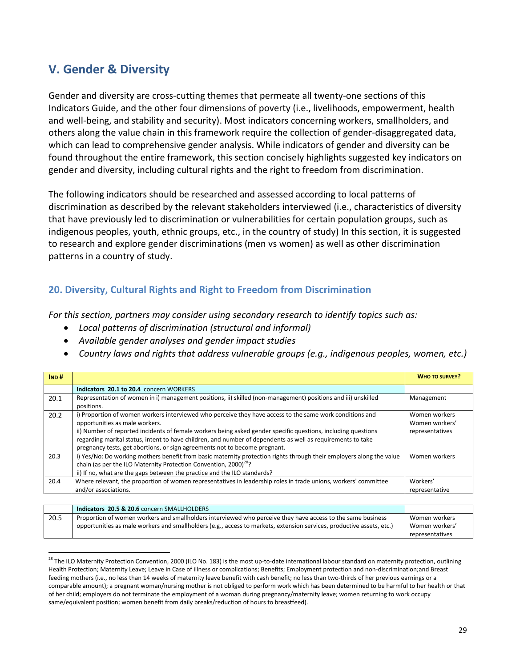# **V. Gender & Diversity**

l

Gender and diversity are cross-cutting themes that permeate all twenty-one sections of this Indicators Guide, and the other four dimensions of poverty (i.e., livelihoods, empowerment, health and well-being, and stability and security). Most indicators concerning workers, smallholders, and others along the value chain in this framework require the collection of gender-disaggregated data, which can lead to comprehensive gender analysis. While indicators of gender and diversity can be found throughout the entire framework, this section concisely highlights suggested key indicators on gender and diversity, including cultural rights and the right to freedom from discrimination.

The following indicators should be researched and assessed according to local patterns of discrimination as described by the relevant stakeholders interviewed (i.e., characteristics of diversity that have previously led to discrimination or vulnerabilities for certain population groups, such as indigenous peoples, youth, ethnic groups, etc., in the country of study) In this section, it is suggested to research and explore gender discriminations (men vs women) as well as other discrimination patterns in a country of study.

## **20. Diversity, Cultural Rights and Right to Freedom from Discrimination**

*For this section, partners may consider using secondary research to identify topics such as:*

- *Local patterns of discrimination (structural and informal)*
- *Available gender analyses and gender impact studies*
- *Country laws and rights that address vulnerable groups (e.g., indigenous peoples, women, etc.)*

| IND# |                                                                                                                                                                                                                                                                                                                                                                                                                                                          | <b>WHO TO SURVEY?</b>                              |
|------|----------------------------------------------------------------------------------------------------------------------------------------------------------------------------------------------------------------------------------------------------------------------------------------------------------------------------------------------------------------------------------------------------------------------------------------------------------|----------------------------------------------------|
|      | Indicators 20.1 to 20.4 concern WORKERS                                                                                                                                                                                                                                                                                                                                                                                                                  |                                                    |
| 20.1 | Representation of women in i) management positions, ii) skilled (non-management) positions and iii) unskilled<br>positions.                                                                                                                                                                                                                                                                                                                              | Management                                         |
| 20.2 | i) Proportion of women workers interviewed who perceive they have access to the same work conditions and<br>opportunities as male workers.<br>ii) Number of reported incidents of female workers being asked gender specific questions, including questions<br>regarding marital status, intent to have children, and number of dependents as well as requirements to take<br>pregnancy tests, get abortions, or sign agreements not to become pregnant. | Women workers<br>Women workers'<br>representatives |
| 20.3 | i) Yes/No: Do working mothers benefit from basic maternity protection rights through their employers along the value<br>chain (as per the ILO Maternity Protection Convention, 2000) <sup>28</sup> ?<br>ii) If no, what are the gaps between the practice and the ILO standards?                                                                                                                                                                         | Women workers                                      |
| 20.4 | Where relevant, the proportion of women representatives in leadership roles in trade unions, workers' committee<br>and/or associations.                                                                                                                                                                                                                                                                                                                  | Workers'<br>representative                         |
|      |                                                                                                                                                                                                                                                                                                                                                                                                                                                          |                                                    |

|      | Indicators 20.5 & 20.6 concern SMALLHOLDERS                                                                           |                 |
|------|-----------------------------------------------------------------------------------------------------------------------|-----------------|
| 20.5 | Proportion of women workers and smallholders interviewed who perceive they have access to the same business           | Women workers   |
|      | opportunities as male workers and smallholders (e.g., access to markets, extension services, productive assets, etc.) | Women workers'  |
|      |                                                                                                                       | representatives |

<sup>&</sup>lt;sup>28</sup> The ILO Maternity Protection Convention, 2000 (ILO No. 183) is the most up-to-date international labour standard on maternity protection, outlining Health Protection; Maternity Leave; Leave in Case of illness or complications; Benefits; Employment protection and non-discrimination;and Breast feeding mothers (i.e., no less than 14 weeks of maternity leave benefit with cash benefit; no less than two-thirds of her previous earnings or a comparable amount); a pregnant woman/nursing mother is not obliged to perform work which has been determined to be harmful to her health or that of her child; employers do not terminate the employment of a woman during pregnancy/maternity leave; women returning to work occupy same/equivalent position; women benefit from daily breaks/reduction of hours to breastfeed).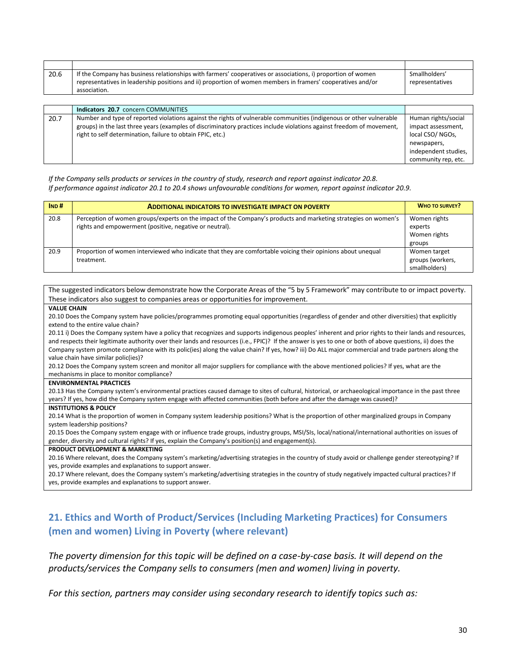| 20.6 | If the Company has business relationships with farmers' cooperatives or associations, i) proportion of women          | Smallholders'        |
|------|-----------------------------------------------------------------------------------------------------------------------|----------------------|
|      | representatives in leadership positions and ii) proportion of women members in framers' cooperatives and/or           | representatives      |
|      | association.                                                                                                          |                      |
|      |                                                                                                                       |                      |
|      | Indicators 20.7 concern COMMUNITIES                                                                                   |                      |
| 20.7 | Number and type of reported violations against the rights of vulnerable communities (indigenous or other vulnerable   | Human rights/social  |
|      | groups) in the last three years (examples of discriminatory practices include violations against freedom of movement, | impact assessment,   |
|      | right to self determination, failure to obtain FPIC, etc.)                                                            | local CSO/NGOs,      |
|      |                                                                                                                       | newspapers,          |
|      |                                                                                                                       | independent studies, |
|      |                                                                                                                       | community rep, etc.  |

### *If the Company sells products or services in the country of study, research and report against indicator 20.8. If performance against indicator 20.1 to 20.4 shows unfavourable conditions for women, report against indicator 20.9.*

| IND# | <b>ADDITIONAL INDICATORS TO INVESTIGATE IMPACT ON POVERTY</b>                                                                                                             | <b>WHO TO SURVEY?</b>                             |
|------|---------------------------------------------------------------------------------------------------------------------------------------------------------------------------|---------------------------------------------------|
| 20.8 | Perception of women groups/experts on the impact of the Company's products and marketing strategies on women's<br>rights and empowerment (positive, negative or neutral). | Women rights<br>experts<br>Women rights<br>groups |
| 20.9 | Proportion of women interviewed who indicate that they are comfortable voicing their opinions about unequal<br>treatment.                                                 | Women target<br>groups (workers,<br>smallholders) |

The suggested indicators below demonstrate how the Corporate Areas of the "5 by 5 Framework" may contribute to or impact poverty. These indicators also suggest to companies areas or opportunities for improvement.

### **VALUE CHAIN**

20.10 Does the Company system have policies/programmes promoting equal opportunities (regardless of gender and other diversities) that explicitly extend to the entire value chain?

20.11 i) Does the Company system have a policy that recognizes and supports indigenous peoples' inherent and prior rights to their lands and resources, and respects their legitimate authority over their lands and resources (i.e., FPIC)? If the answer is yes to one or both of above questions, ii) does the Company system promote compliance with its polic(ies) along the value chain? If yes, how? iii) Do ALL major commercial and trade partners along the value chain have similar polic(ies)?

20.12 Does the Company system screen and monitor all major suppliers for compliance with the above mentioned policies? If yes, what are the mechanisms in place to monitor compliance?

#### **ENVIRONMENTAL PRACTICES**

20.13 Has the Company system's environmental practices caused damage to sites of cultural, historical, or archaeological importance in the past three years? If yes, how did the Company system engage with affected communities (both before and after the damage was caused)?

### **INSTITUTIONS & POLICY**

20.14 What is the proportion of women in Company system leadership positions? What is the proportion of other marginalized groups in Company system leadership positions?

20.15 Does the Company system engage with or influence trade groups, industry groups, MSI/SIs, local/national/international authorities on issues of gender, diversity and cultural rights? If yes, explain the Company's position(s) and engagement(s).

### **PRODUCT DEVELOPMENT & MARKETING**

20.16 Where relevant, does the Company system's marketing/advertising strategies in the country of study avoid or challenge gender stereotyping? If yes, provide examples and explanations to support answer.

20.17 Where relevant, does the Company system's marketing/advertising strategies in the country of study negatively impacted cultural practices? If yes, provide examples and explanations to support answer.

## **21. Ethics and Worth of Product/Services (Including Marketing Practices) for Consumers (men and women) Living in Poverty (where relevant)**

*The poverty dimension for this topic will be defined on a case-by-case basis. It will depend on the products/services the Company sells to consumers (men and women) living in poverty.* 

*For this section, partners may consider using secondary research to identify topics such as:*